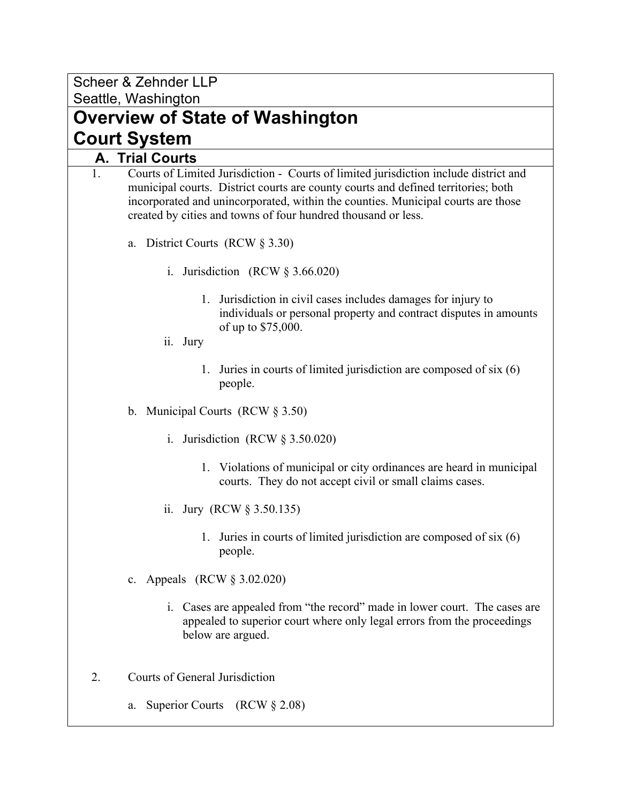Scheer & Zehnder LLP Seattle, Washington

**Overview of State of Washington Court System**

## **A. Trial Courts**

- 1. Courts of Limited Jurisdiction Courts of limited jurisdiction include district and municipal courts. District courts are county courts and defined territories; both incorporated and unincorporated, within the counties. Municipal courts are those created by cities and towns of four hundred thousand or less.
	- a. District Courts (RCW § 3.30)
		- i. Jurisdiction (RCW § 3.66.020)
			- 1. Jurisdiction in civil cases includes damages for injury to individuals or personal property and contract disputes in amounts of up to \$75,000.
		- ii. Jury
			- 1. Juries in courts of limited jurisdiction are composed of six (6) people.
	- b. Municipal Courts (RCW § 3.50)
		- i. Jurisdiction (RCW § 3.50.020)
			- 1. Violations of municipal or city ordinances are heard in municipal courts. They do not accept civil or small claims cases.
		- ii. Jury (RCW § 3.50.135)
			- 1. Juries in courts of limited jurisdiction are composed of six (6) people.
	- c. Appeals (RCW § 3.02.020)
		- i. Cases are appealed from "the record" made in lower court. The cases are appealed to superior court where only legal errors from the proceedings below are argued.
- 2. Courts of General Jurisdiction
	- a. Superior Courts (RCW § 2.08)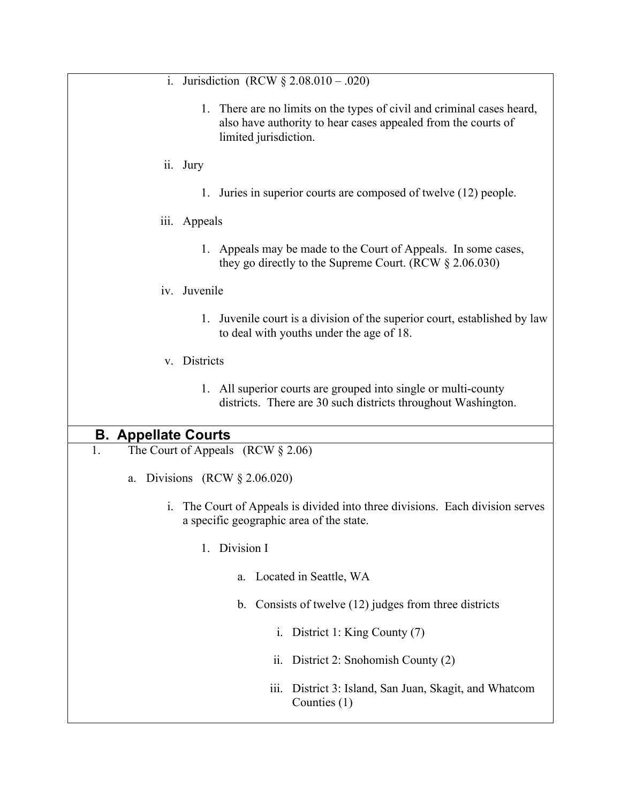i. Jurisdiction  $(RCW \S 2.08.010 - .020)$ 1. There are no limits on the types of civil and criminal cases heard, also have authority to hear cases appealed from the courts of limited jurisdiction. ii. Jury 1. Juries in superior courts are composed of twelve (12) people. iii. Appeals 1. Appeals may be made to the Court of Appeals. In some cases, they go directly to the Supreme Court. (RCW § 2.06.030) iv. Juvenile 1. Juvenile court is a division of the superior court, established by law to deal with youths under the age of 18. v. Districts 1. All superior courts are grouped into single or multi-county districts. There are 30 such districts throughout Washington. **B. Appellate Courts** 1. The Court of Appeals (RCW § 2.06) a. Divisions (RCW § 2.06.020) i. The Court of Appeals is divided into three divisions. Each division serves a specific geographic area of the state. 1. Division I a. Located in Seattle, WA b. Consists of twelve (12) judges from three districts i. District 1: King County (7) ii. District 2: Snohomish County (2) iii. District 3: Island, San Juan, Skagit, and Whatcom Counties (1)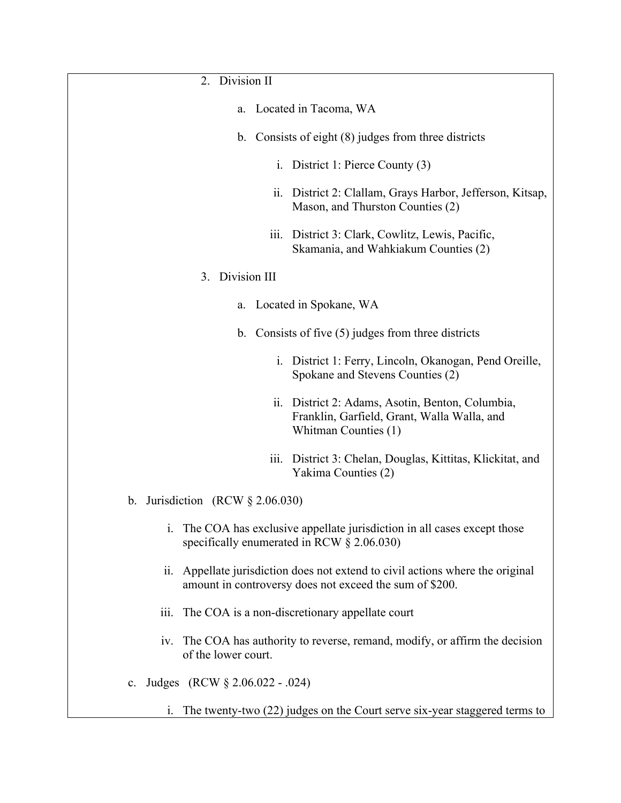- 2. Division II
	- a. Located in Tacoma, WA
	- b. Consists of eight (8) judges from three districts
		- i. District 1: Pierce County (3)
		- ii. District 2: Clallam, Grays Harbor, Jefferson, Kitsap, Mason, and Thurston Counties (2)
		- iii. District 3: Clark, Cowlitz, Lewis, Pacific, Skamania, and Wahkiakum Counties (2)

#### 3. Division III

- a. Located in Spokane, WA
- b. Consists of five (5) judges from three districts
	- i. District 1: Ferry, Lincoln, Okanogan, Pend Oreille, Spokane and Stevens Counties (2)
	- ii. District 2: Adams, Asotin, Benton, Columbia, Franklin, Garfield, Grant, Walla Walla, and Whitman Counties (1)
	- iii. District 3: Chelan, Douglas, Kittitas, Klickitat, and Yakima Counties (2)
- b. Jurisdiction (RCW § 2.06.030)
	- i. The COA has exclusive appellate jurisdiction in all cases except those specifically enumerated in RCW § 2.06.030)
	- ii. Appellate jurisdiction does not extend to civil actions where the original amount in controversy does not exceed the sum of \$200.
	- iii. The COA is a non-discretionary appellate court
	- iv. The COA has authority to reverse, remand, modify, or affirm the decision of the lower court.
- c. Judges (RCW § 2.06.022 .024)
	- i. The twenty-two (22) judges on the Court serve six-year staggered terms to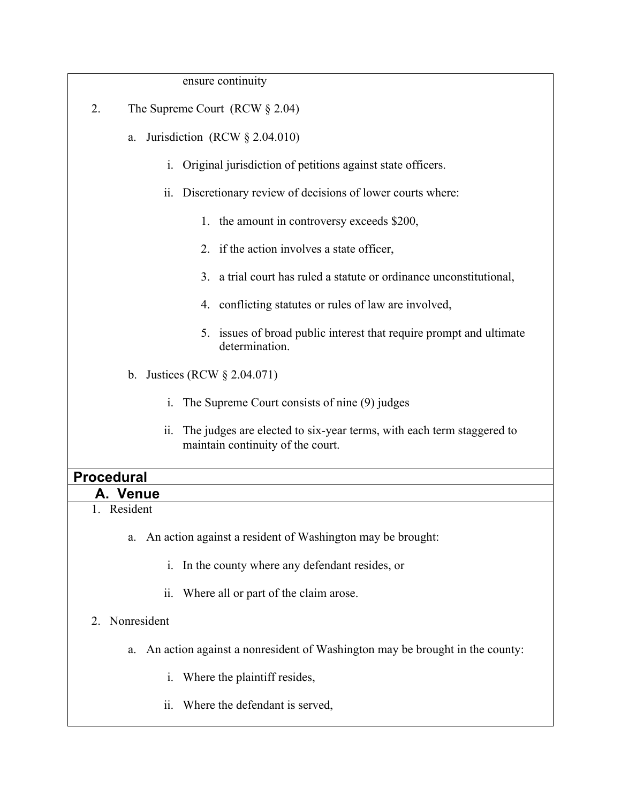| ensure continuity                                                                                                 |
|-------------------------------------------------------------------------------------------------------------------|
| 2.<br>The Supreme Court (RCW $\S 2.04$ )                                                                          |
| Jurisdiction (RCW $\S$ 2.04.010)<br>a.                                                                            |
| i. Original jurisdiction of petitions against state officers.                                                     |
| ii. Discretionary review of decisions of lower courts where:                                                      |
| 1. the amount in controversy exceeds \$200,                                                                       |
| 2. if the action involves a state officer,                                                                        |
| a trial court has ruled a statute or ordinance unconstitutional,<br>$\mathcal{E}$                                 |
| 4. conflicting statutes or rules of law are involved,                                                             |
| 5. issues of broad public interest that require prompt and ultimate<br>determination.                             |
| b. Justices (RCW $\S 2.04.071$ )                                                                                  |
| $i_{-}$<br>The Supreme Court consists of nine (9) judges                                                          |
| The judges are elected to six-year terms, with each term staggered to<br>11.<br>maintain continuity of the court. |
| <b>Procedural</b>                                                                                                 |

- **A. Venue** 1. Resident
	- - a. An action against a resident of Washington may be brought:
			- i. In the county where any defendant resides, or
			- ii. Where all or part of the claim arose.

#### 2. Nonresident

- a. An action against a nonresident of Washington may be brought in the county:
	- i. Where the plaintiff resides,
	- ii. Where the defendant is served,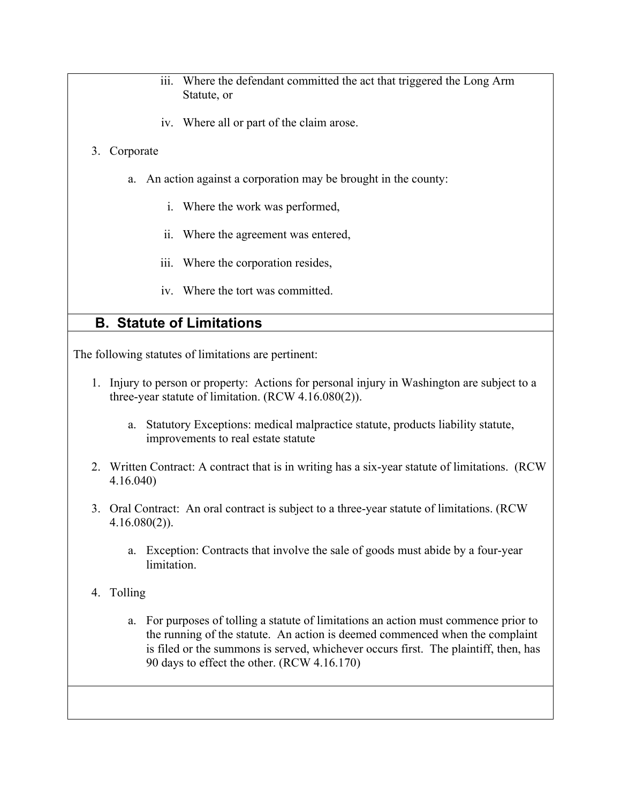- iii. Where the defendant committed the act that triggered the Long Arm Statute, or
- iv. Where all or part of the claim arose.

#### 3. Corporate

- a. An action against a corporation may be brought in the county:
	- i. Where the work was performed,
	- ii. Where the agreement was entered,
	- iii. Where the corporation resides,
	- iv. Where the tort was committed.

## **B. Statute of Limitations**

The following statutes of limitations are pertinent:

- 1. Injury to person or property: Actions for personal injury in Washington are subject to a three-year statute of limitation. (RCW 4.16.080(2)).
	- a. Statutory Exceptions: medical malpractice statute, products liability statute, improvements to real estate statute
- 2. Written Contract: A contract that is in writing has a six-year statute of limitations. (RCW 4.16.040)
- 3. Oral Contract: An oral contract is subject to a three-year statute of limitations. (RCW 4.16.080(2)).
	- a. Exception: Contracts that involve the sale of goods must abide by a four-year limitation.

#### 4. Tolling

a. For purposes of tolling a statute of limitations an action must commence prior to the running of the statute. An action is deemed commenced when the complaint is filed or the summons is served, whichever occurs first. The plaintiff, then, has 90 days to effect the other. (RCW 4.16.170)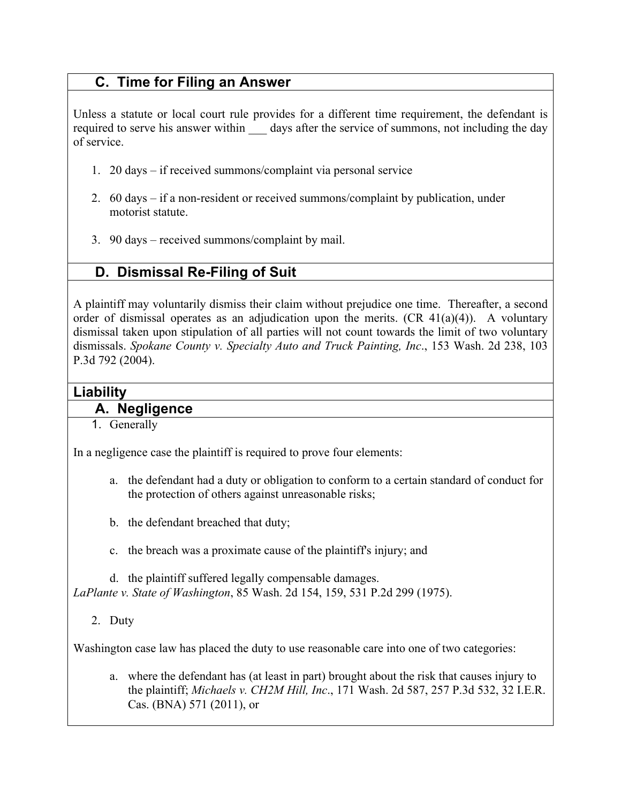# **C. Time for Filing an Answer**

Unless a statute or local court rule provides for a different time requirement, the defendant is required to serve his answer within days after the service of summons, not including the day of service.

- 1. 20 days if received summons/complaint via personal service
- 2. 60 days if a non-resident or received summons/complaint by publication, under motorist statute.
- 3. 90 days received summons/complaint by mail.

# **D. Dismissal Re-Filing of Suit**

A plaintiff may voluntarily dismiss their claim without prejudice one time. Thereafter, a second order of dismissal operates as an adjudication upon the merits.  $(CR 41(a)(4))$ . A voluntary dismissal taken upon stipulation of all parties will not count towards the limit of two voluntary dismissals. *Spokane County v. Specialty Auto and Truck Painting, Inc*., 153 Wash. 2d 238, 103 P.3d 792 (2004).

### **Liability**

### **A. Negligence**

1. Generally

In a negligence case the plaintiff is required to prove four elements:

- a. the defendant had a duty or obligation to conform to a certain standard of conduct for the protection of others against unreasonable risks;
- b. the defendant breached that duty;
- c. the breach was a proximate cause of the plaintiff's injury; and

d. the plaintiff suffered legally compensable damages. *LaPlante v. State of Washington*, 85 Wash. 2d 154, 159, 531 P.2d 299 (1975).

2. Duty

Washington case law has placed the duty to use reasonable care into one of two categories:

a. where the defendant has (at least in part) brought about the risk that causes injury to the plaintiff; *Michaels v. CH2M Hill, Inc*., 171 Wash. 2d 587, 257 P.3d 532, 32 I.E.R. Cas. (BNA) 571 (2011), or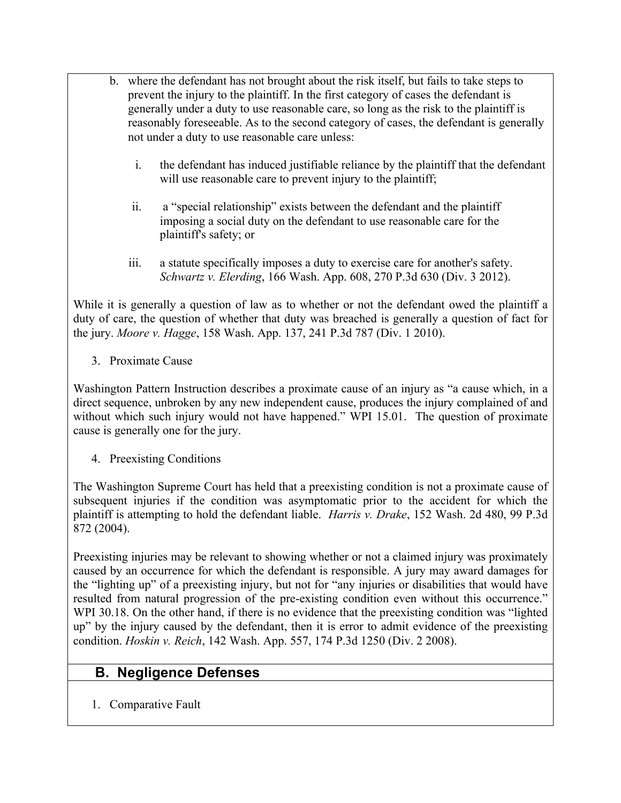- b. where the defendant has not brought about the risk itself, but fails to take steps to prevent the injury to the plaintiff. In the first category of cases the defendant is generally under a duty to use reasonable care, so long as the risk to the plaintiff is reasonably foreseeable. As to the second category of cases, the defendant is generally not under a duty to use reasonable care unless:
	- i. the defendant has induced justifiable reliance by the plaintiff that the defendant will use reasonable care to prevent injury to the plaintiff;
	- ii. a "special relationship" exists between the defendant and the plaintiff imposing a social duty on the defendant to use reasonable care for the plaintiff's safety; or
	- iii. a statute specifically imposes a duty to exercise care for another's safety. *Schwartz v. Elerding*, 166 Wash. App. 608, 270 P.3d 630 (Div. 3 2012).

While it is generally a question of law as to whether or not the defendant owed the plaintiff a duty of care, the question of whether that duty was breached is generally a question of fact for the jury. *Moore v. Hagge*, 158 Wash. App. 137, 241 P.3d 787 (Div. 1 2010).

3. Proximate Cause

Washington Pattern Instruction describes a proximate cause of an injury as "a cause which, in a direct sequence, unbroken by any new independent cause, produces the injury complained of and without which such injury would not have happened." WPI 15.01. The question of proximate cause is generally one for the jury.

4. Preexisting Conditions

The Washington Supreme Court has held that a preexisting condition is not a proximate cause of subsequent injuries if the condition was asymptomatic prior to the accident for which the plaintiff is attempting to hold the defendant liable. *Harris v. Drake*, 152 Wash. 2d 480, 99 P.3d 872 (2004).

Preexisting injuries may be relevant to showing whether or not a claimed injury was proximately caused by an occurrence for which the defendant is responsible. A jury may award damages for the "lighting up" of a preexisting injury, but not for "any injuries or disabilities that would have resulted from natural progression of the pre-existing condition even without this occurrence." WPI 30.18. On the other hand, if there is no evidence that the preexisting condition was "lighted up" by the injury caused by the defendant, then it is error to admit evidence of the preexisting condition. *Hoskin v. Reich*, 142 Wash. App. 557, 174 P.3d 1250 (Div. 2 2008).

### **B. Negligence Defenses**

1. Comparative Fault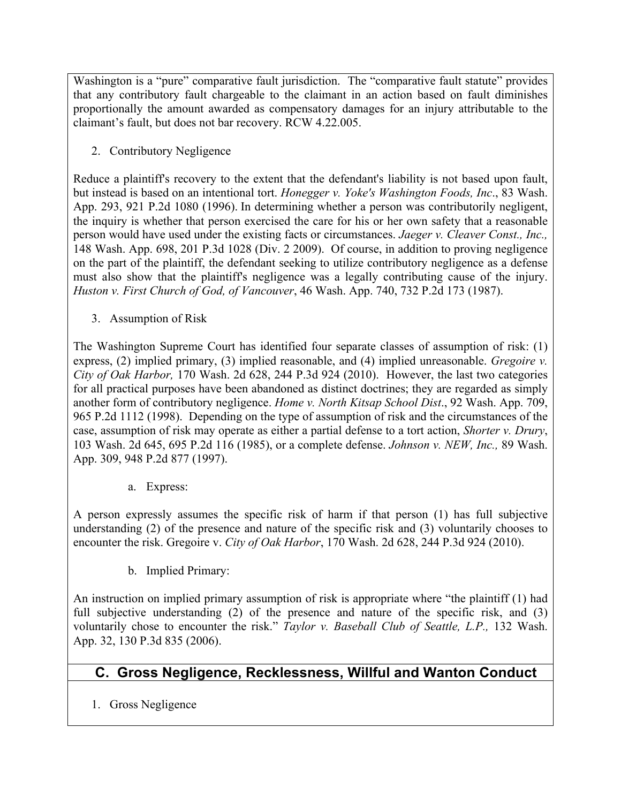Washington is a "pure" comparative fault jurisdiction. The "comparative fault statute" provides that any contributory fault chargeable to the claimant in an action based on fault diminishes proportionally the amount awarded as compensatory damages for an injury attributable to the claimant's fault, but does not bar recovery. RCW 4.22.005.

2. Contributory Negligence

Reduce a plaintiff's recovery to the extent that the defendant's liability is not based upon fault, but instead is based on an intentional tort. *Honegger v. Yoke's Washington Foods, Inc*., 83 Wash. App. 293, 921 P.2d 1080 (1996). In determining whether a person was contributorily negligent, the inquiry is whether that person exercised the care for his or her own safety that a reasonable person would have used under the existing facts or circumstances. *Jaeger v. Cleaver Const., Inc.,* 148 Wash. App. 698, 201 P.3d 1028 (Div. 2 2009). Of course, in addition to proving negligence on the part of the plaintiff, the defendant seeking to utilize contributory negligence as a defense must also show that the plaintiff's negligence was a legally contributing cause of the injury. *Huston v. First Church of God, of Vancouver*, 46 Wash. App. 740, 732 P.2d 173 (1987).

3. Assumption of Risk

The Washington Supreme Court has identified four separate classes of assumption of risk: (1) express, (2) implied primary, (3) implied reasonable, and (4) implied unreasonable. *Gregoire v. City of Oak Harbor,* 170 Wash. 2d 628, 244 P.3d 924 (2010). However, the last two categories for all practical purposes have been abandoned as distinct doctrines; they are regarded as simply another form of contributory negligence. *Home v. North Kitsap School Dist*., 92 Wash. App. 709, 965 P.2d 1112 (1998). Depending on the type of assumption of risk and the circumstances of the case, assumption of risk may operate as either a partial defense to a tort action, *Shorter v. Drury*, 103 Wash. 2d 645, 695 P.2d 116 (1985), or a complete defense. *Johnson v. NEW, Inc.,* 89 Wash. App. 309, 948 P.2d 877 (1997).

a. Express:

A person expressly assumes the specific risk of harm if that person (1) has full subjective understanding (2) of the presence and nature of the specific risk and (3) voluntarily chooses to encounter the risk. Gregoire v. *City of Oak Harbor*, 170 Wash. 2d 628, 244 P.3d 924 (2010).

b. Implied Primary:

An instruction on implied primary assumption of risk is appropriate where "the plaintiff (1) had full subjective understanding (2) of the presence and nature of the specific risk, and (3) voluntarily chose to encounter the risk." *Taylor v. Baseball Club of Seattle, L.P.,* 132 Wash. App. 32, 130 P.3d 835 (2006).

## **C. Gross Negligence, Recklessness, Willful and Wanton Conduct**

1. Gross Negligence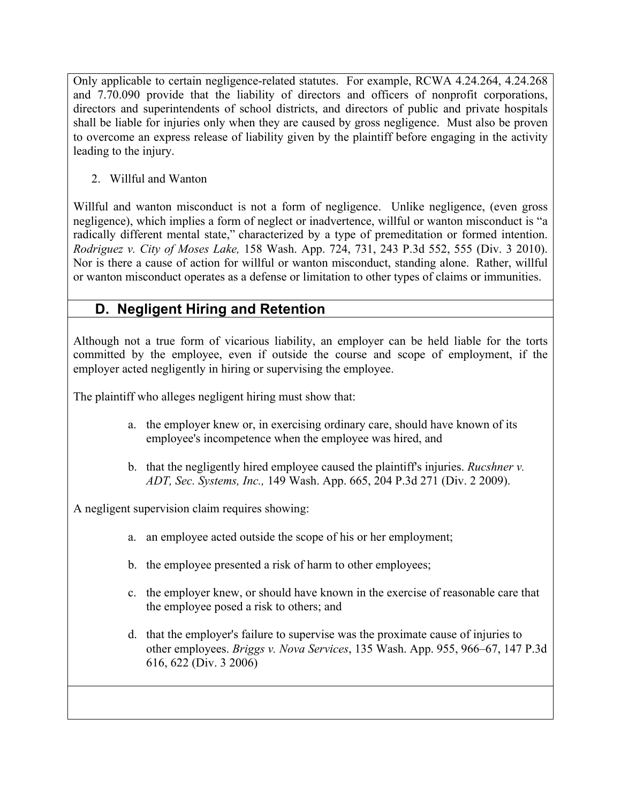Only applicable to certain negligence-related statutes. For example, RCWA 4.24.264, 4.24.268 and 7.70.090 provide that the liability of directors and officers of nonprofit corporations, directors and superintendents of school districts, and directors of public and private hospitals shall be liable for injuries only when they are caused by gross negligence. Must also be proven to overcome an express release of liability given by the plaintiff before engaging in the activity leading to the injury.

2. Willful and Wanton

Willful and wanton misconduct is not a form of negligence. Unlike negligence, (even gross negligence), which implies a form of neglect or inadvertence, willful or wanton misconduct is "a radically different mental state," characterized by a type of premeditation or formed intention. *Rodriguez v. City of Moses Lake,* 158 Wash. App. 724, 731, 243 P.3d 552, 555 (Div. 3 2010). Nor is there a cause of action for willful or wanton misconduct, standing alone. Rather, willful or wanton misconduct operates as a defense or limitation to other types of claims or immunities.

# **D. Negligent Hiring and Retention**

Although not a true form of vicarious liability, an employer can be held liable for the torts committed by the employee, even if outside the course and scope of employment, if the employer acted negligently in hiring or supervising the employee.

The plaintiff who alleges negligent hiring must show that:

- a. the employer knew or, in exercising ordinary care, should have known of its employee's incompetence when the employee was hired, and
- b. that the negligently hired employee caused the plaintiff's injuries. *Rucshner v. ADT, Sec. Systems, Inc.,* 149 Wash. App. 665, 204 P.3d 271 (Div. 2 2009).

A negligent supervision claim requires showing:

- a. an employee acted outside the scope of his or her employment;
- b. the employee presented a risk of harm to other employees;
- c. the employer knew, or should have known in the exercise of reasonable care that the employee posed a risk to others; and
- d. that the employer's failure to supervise was the proximate cause of injuries to other employees. *Briggs v. Nova Services*, 135 Wash. App. 955, 966–67, 147 P.3d 616, 622 (Div. 3 2006)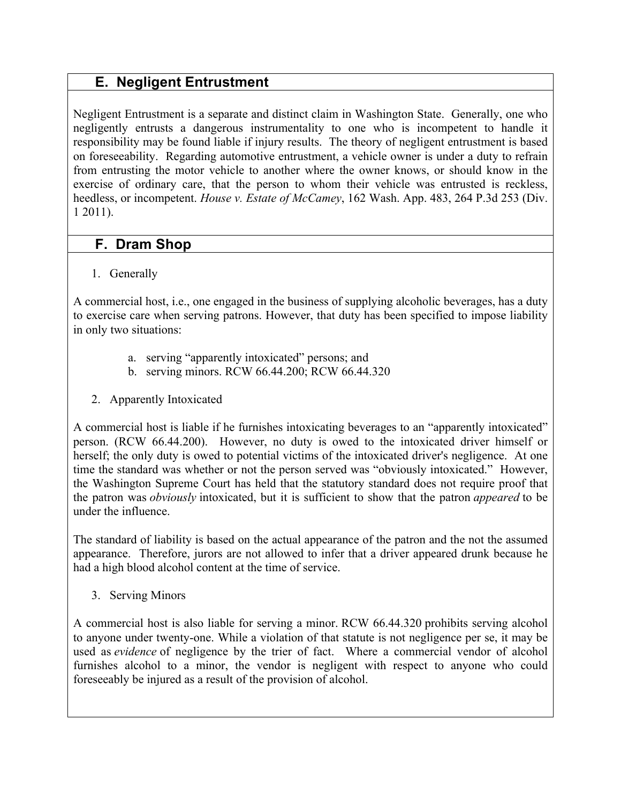# **E. Negligent Entrustment**

Negligent Entrustment is a separate and distinct claim in Washington State. Generally, one who negligently entrusts a dangerous instrumentality to one who is incompetent to handle it responsibility may be found liable if injury results. The theory of negligent entrustment is based on foreseeability. Regarding automotive entrustment, a vehicle owner is under a duty to refrain from entrusting the motor vehicle to another where the owner knows, or should know in the exercise of ordinary care, that the person to whom their vehicle was entrusted is reckless, heedless, or incompetent. *House v. Estate of McCamey*, 162 Wash. App. 483, 264 P.3d 253 (Div. 1 2011).

## **F. Dram Shop**

1. Generally

A commercial host, i.e., one engaged in the business of supplying alcoholic beverages, has a duty to exercise care when serving patrons. However, that duty has been specified to impose liability in only two situations:

- a. serving "apparently intoxicated" persons; and
- b. serving minors. RCW 66.44.200; RCW 66.44.320
- 2. Apparently Intoxicated

A commercial host is liable if he furnishes intoxicating beverages to an "apparently intoxicated" person. (RCW 66.44.200). However, no duty is owed to the intoxicated driver himself or herself; the only duty is owed to potential victims of the intoxicated driver's negligence. At one time the standard was whether or not the person served was "obviously intoxicated." However, the Washington Supreme Court has held that the statutory standard does not require proof that the patron was *obviously* intoxicated, but it is sufficient to show that the patron *appeared* to be under the influence.

The standard of liability is based on the actual appearance of the patron and the not the assumed appearance. Therefore, jurors are not allowed to infer that a driver appeared drunk because he had a high blood alcohol content at the time of service.

3. Serving Minors

A commercial host is also liable for serving a minor. RCW 66.44.320 prohibits serving alcohol to anyone under twenty-one. While a violation of that statute is not negligence per se, it may be used as *evidence* of negligence by the trier of fact. Where a commercial vendor of alcohol furnishes alcohol to a minor, the vendor is negligent with respect to anyone who could foreseeably be injured as a result of the provision of alcohol.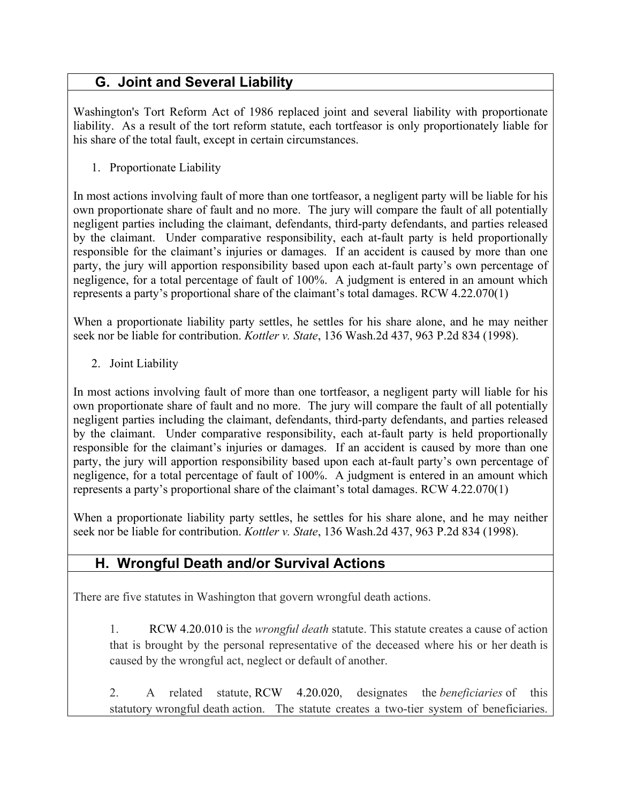# **G. Joint and Several Liability**

Washington's Tort Reform Act of 1986 replaced joint and several liability with proportionate liability. As a result of the tort reform statute, each tortfeasor is only proportionately liable for his share of the total fault, except in certain circumstances.

1. Proportionate Liability

In most actions involving fault of more than one tortfeasor, a negligent party will be liable for his own proportionate share of fault and no more. The jury will compare the fault of all potentially negligent parties including the claimant, defendants, third-party defendants, and parties released by the claimant. Under comparative responsibility, each at-fault party is held proportionally responsible for the claimant's injuries or damages. If an accident is caused by more than one party, the jury will apportion responsibility based upon each at-fault party's own percentage of negligence, for a total percentage of fault of 100%. A judgment is entered in an amount which represents a party's proportional share of the claimant's total damages. RCW 4.22.070(1)

When a proportionate liability party settles, he settles for his share alone, and he may neither seek nor be liable for contribution. *Kottler v. State*, 136 Wash.2d 437, 963 P.2d 834 (1998).

2. Joint Liability

In most actions involving fault of more than one tortfeasor, a negligent party will liable for his own proportionate share of fault and no more. The jury will compare the fault of all potentially negligent parties including the claimant, defendants, third-party defendants, and parties released by the claimant. Under comparative responsibility, each at-fault party is held proportionally responsible for the claimant's injuries or damages. If an accident is caused by more than one party, the jury will apportion responsibility based upon each at-fault party's own percentage of negligence, for a total percentage of fault of 100%. A judgment is entered in an amount which represents a party's proportional share of the claimant's total damages. RCW 4.22.070(1)

When a proportionate liability party settles, he settles for his share alone, and he may neither seek nor be liable for contribution. *Kottler v. State*, 136 Wash.2d 437, 963 P.2d 834 (1998).

# **H. Wrongful Death and/or Survival Actions**

There are five statutes in Washington that govern wrongful death actions.

1. RCW 4.20.010 is the *wrongful death* statute. This statute creates a cause of action that is brought by the personal representative of the deceased where his or her death is caused by the wrongful act, neglect or default of another.

2. A related statute, RCW 4.20.020, designates the *beneficiaries* of this statutory wrongful death action. The statute creates a two-tier system of beneficiaries.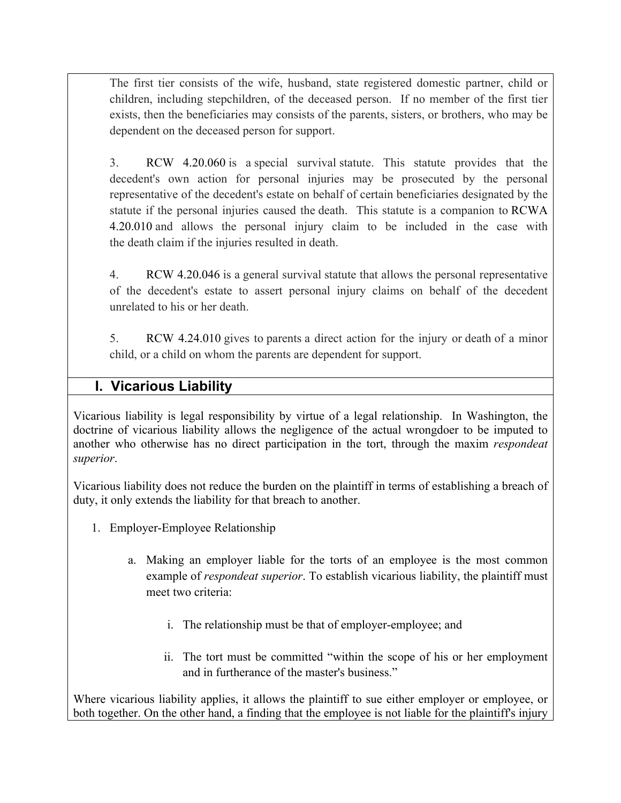The first tier consists of the wife, husband, state registered domestic partner, child or children, including stepchildren, of the deceased person. If no member of the first tier exists, then the beneficiaries may consists of the parents, sisters, or brothers, who may be dependent on the deceased person for support.

3. RCW 4.20.060 is a special survival statute. This statute provides that the decedent's own action for personal injuries may be prosecuted by the personal representative of the decedent's estate on behalf of certain beneficiaries designated by the statute if the personal injuries caused the death. This statute is a companion to RCWA 4.20.010 and allows the personal injury claim to be included in the case with the death claim if the injuries resulted in death.

4. RCW 4.20.046 is a general survival statute that allows the personal representative of the decedent's estate to assert personal injury claims on behalf of the decedent unrelated to his or her death.

5. RCW 4.24.010 gives to parents a direct action for the injury or death of a minor child, or a child on whom the parents are dependent for support.

## **I. Vicarious Liability**

Vicarious liability is legal responsibility by virtue of a legal relationship. In Washington, the doctrine of vicarious liability allows the negligence of the actual wrongdoer to be imputed to another who otherwise has no direct participation in the tort, through the maxim *respondeat superior*.

Vicarious liability does not reduce the burden on the plaintiff in terms of establishing a breach of duty, it only extends the liability for that breach to another.

- 1. Employer-Employee Relationship
	- a. Making an employer liable for the torts of an employee is the most common example of *respondeat superior*. To establish vicarious liability, the plaintiff must meet two criteria:
		- i. The relationship must be that of employer-employee; and
		- ii. The tort must be committed "within the scope of his or her employment and in furtherance of the master's business."

Where vicarious liability applies, it allows the plaintiff to sue either employer or employee, or both together. On the other hand, a finding that the employee is not liable for the plaintiff's injury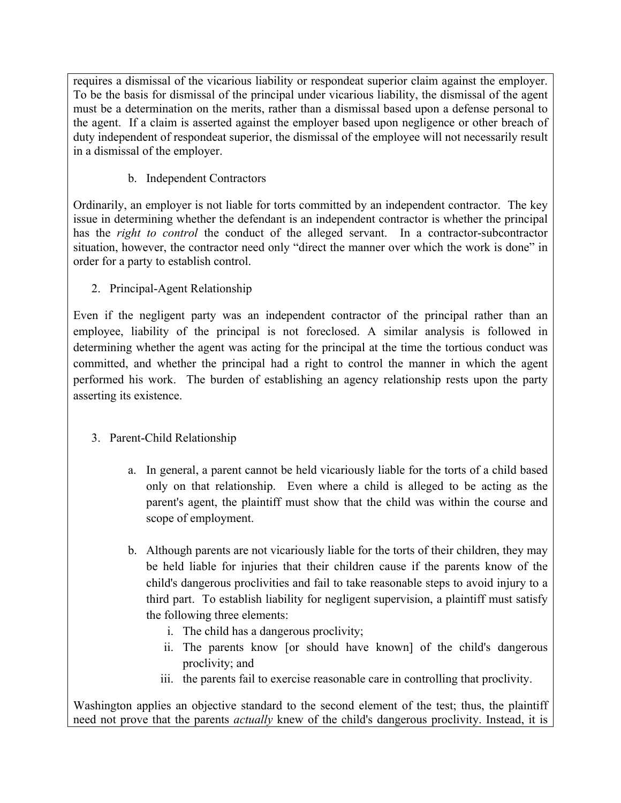requires a dismissal of the vicarious liability or respondeat superior claim against the employer. To be the basis for dismissal of the principal under vicarious liability, the dismissal of the agent must be a determination on the merits, rather than a dismissal based upon a defense personal to the agent. If a claim is asserted against the employer based upon negligence or other breach of duty independent of respondeat superior, the dismissal of the employee will not necessarily result in a dismissal of the employer.

b. Independent Contractors

Ordinarily, an employer is not liable for torts committed by an independent contractor. The key issue in determining whether the defendant is an independent contractor is whether the principal has the *right to control* the conduct of the alleged servant. In a contractor-subcontractor situation, however, the contractor need only "direct the manner over which the work is done" in order for a party to establish control.

2. Principal-Agent Relationship

Even if the negligent party was an independent contractor of the principal rather than an employee, liability of the principal is not foreclosed. A similar analysis is followed in determining whether the agent was acting for the principal at the time the tortious conduct was committed, and whether the principal had a right to control the manner in which the agent performed his work. The burden of establishing an agency relationship rests upon the party asserting its existence.

- 3. Parent-Child Relationship
	- a. In general, a parent cannot be held vicariously liable for the torts of a child based only on that relationship. Even where a child is alleged to be acting as the parent's agent, the plaintiff must show that the child was within the course and scope of employment.
	- b. Although parents are not vicariously liable for the torts of their children, they may be held liable for injuries that their children cause if the parents know of the child's dangerous proclivities and fail to take reasonable steps to avoid injury to a third part. To establish liability for negligent supervision, a plaintiff must satisfy the following three elements:
		- i. The child has a dangerous proclivity;
		- ii. The parents know [or should have known] of the child's dangerous proclivity; and
		- iii. the parents fail to exercise reasonable care in controlling that proclivity.

Washington applies an objective standard to the second element of the test; thus, the plaintiff need not prove that the parents *actually* knew of the child's dangerous proclivity. Instead, it is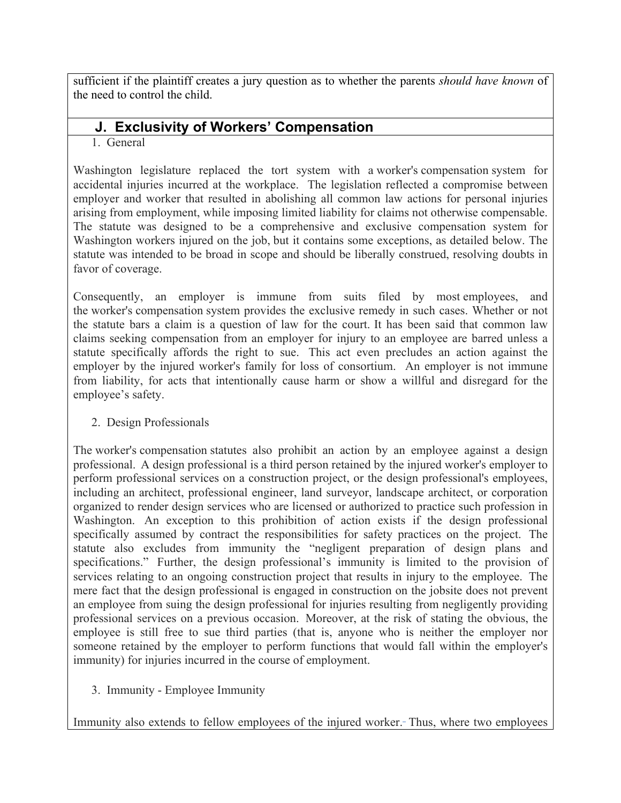sufficient if the plaintiff creates a jury question as to whether the parents *should have known* of the need to control the child.

## **J. Exclusivity of Workers' Compensation**

#### 1. General

Washington legislature replaced the tort system with a worker's compensation system for accidental injuries incurred at the workplace. The legislation reflected a compromise between employer and worker that resulted in abolishing all common law actions for personal injuries arising from employment, while imposing limited liability for claims not otherwise compensable. The statute was designed to be a comprehensive and exclusive compensation system for Washington workers injured on the job, but it contains some exceptions, as detailed below. The statute was intended to be broad in scope and should be liberally construed, resolving doubts in favor of coverage.

Consequently, an employer is immune from suits filed by most employees, and the worker's compensation system provides the exclusive remedy in such cases. Whether or not the statute bars a claim is a question of law for the court. It has been said that common law claims seeking compensation from an employer for injury to an employee are barred unless a statute specifically affords the right to sue. This act even precludes an action against the employer by the injured worker's family for loss of consortium. An employer is not immune from liability, for acts that intentionally cause harm or show a willful and disregard for the employee's safety.

#### 2. Design Professionals

The worker's compensation statutes also prohibit an action by an employee against a design professional. A design professional is a third person retained by the injured worker's employer to perform professional services on a construction project, or the design professional's employees, including an architect, professional engineer, land surveyor, landscape architect, or corporation organized to render design services who are licensed or authorized to practice such profession in Washington. An exception to this prohibition of action exists if the design professional specifically assumed by contract the responsibilities for safety practices on the project. The statute also excludes from immunity the "negligent preparation of design plans and specifications." Further, the design professional's immunity is limited to the provision of services relating to an ongoing construction project that results in injury to the employee. The mere fact that the design professional is engaged in construction on the jobsite does not prevent an employee from suing the design professional for injuries resulting from negligently providing professional services on a previous occasion. Moreover, at the risk of stating the obvious, the employee is still free to sue third parties (that is, anyone who is neither the employer nor someone retained by the employer to perform functions that would fall within the employer's immunity) for injuries incurred in the course of employment.

#### 3. Immunity - Employee Immunity

Immunity also extends to fellow employees of the injured worker. Thus, where two employees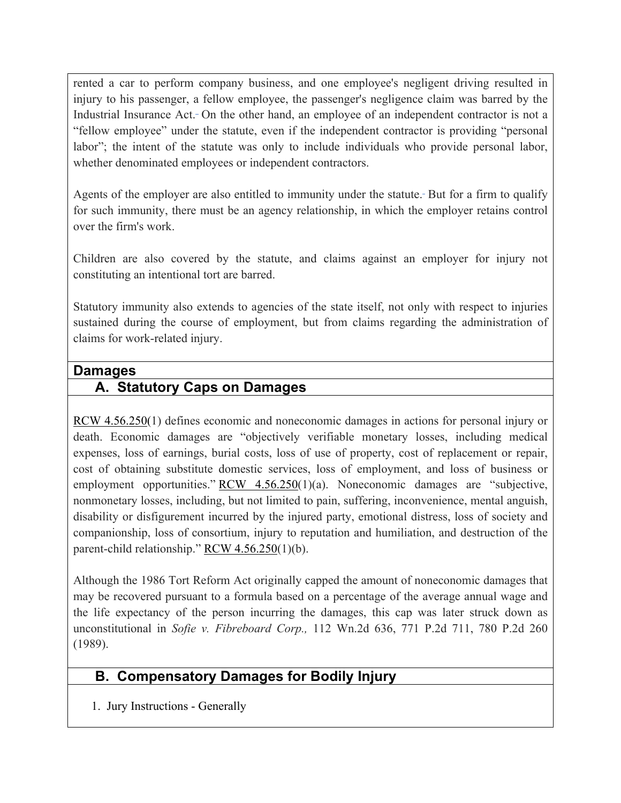rented a car to perform company business, and one employee's negligent driving resulted in injury to his passenger, a fellow employee, the passenger's negligence claim was barred by the Industrial Insurance Act. On the other hand, an employee of an independent contractor is not a "fellow employee" under the statute, even if the independent contractor is providing "personal labor"; the intent of the statute was only to include individuals who provide personal labor, whether denominated employees or independent contractors.

Agents of the employer are also entitled to immunity under the statute. But for a firm to qualify for such immunity, there must be an agency relationship, in which the employer retains control over the firm's work.

Children are also covered by the statute, and claims against an employer for injury not constituting an intentional tort are barred.

Statutory immunity also extends to agencies of the state itself, not only with respect to injuries sustained during the course of employment, but from claims regarding the administration of claims for work-related injury.

#### **Damages**

## **A. Statutory Caps on Damages**

RCW 4.56.250(1) defines economic and noneconomic damages in actions for personal injury or death. Economic damages are "objectively verifiable monetary losses, including medical expenses, loss of earnings, burial costs, loss of use of property, cost of replacement or repair, cost of obtaining substitute domestic services, loss of employment, and loss of business or employment opportunities." RCW 4.56.250(1)(a). Noneconomic damages are "subjective, nonmonetary losses, including, but not limited to pain, suffering, inconvenience, mental anguish, disability or disfigurement incurred by the injured party, emotional distress, loss of society and companionship, loss of consortium, injury to reputation and humiliation, and destruction of the parent-child relationship."  $RCW$  4.56.250(1)(b).

Although the 1986 Tort Reform Act originally capped the amount of noneconomic damages that may be recovered pursuant to a formula based on a percentage of the average annual wage and the life expectancy of the person incurring the damages, this cap was later struck down as unconstitutional in *Sofie v. Fibreboard Corp.,* 112 Wn.2d 636, 771 P.2d 711, 780 P.2d 260 (1989).

## **B. Compensatory Damages for Bodily Injury**

1. Jury Instructions - Generally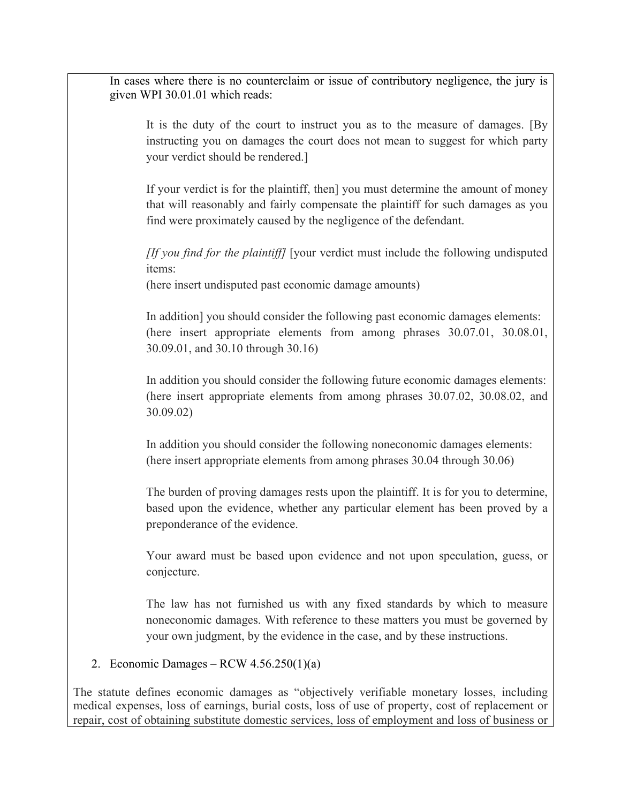In cases where there is no counterclaim or issue of contributory negligence, the jury is given WPI 30.01.01 which reads:

It is the duty of the court to instruct you as to the measure of damages. [By instructing you on damages the court does not mean to suggest for which party your verdict should be rendered.]

If your verdict is for the plaintiff, then] you must determine the amount of money that will reasonably and fairly compensate the plaintiff for such damages as you find were proximately caused by the negligence of the defendant.

*[If you find for the plaintiff]* [your verdict must include the following undisputed items:

(here insert undisputed past economic damage amounts)

In addition] you should consider the following past economic damages elements: (here insert appropriate elements from among phrases 30.07.01, 30.08.01, 30.09.01, and 30.10 through 30.16)

In addition you should consider the following future economic damages elements: (here insert appropriate elements from among phrases 30.07.02, 30.08.02, and 30.09.02)

In addition you should consider the following noneconomic damages elements: (here insert appropriate elements from among phrases 30.04 through 30.06)

The burden of proving damages rests upon the plaintiff. It is for you to determine, based upon the evidence, whether any particular element has been proved by a preponderance of the evidence.

Your award must be based upon evidence and not upon speculation, guess, or conjecture.

The law has not furnished us with any fixed standards by which to measure noneconomic damages. With reference to these matters you must be governed by your own judgment, by the evidence in the case, and by these instructions.

#### 2. Economic Damages – RCW 4.56.250(1)(a)

The statute defines economic damages as "objectively verifiable monetary losses, including medical expenses, loss of earnings, burial costs, loss of use of property, cost of replacement or repair, cost of obtaining substitute domestic services, loss of employment and loss of business or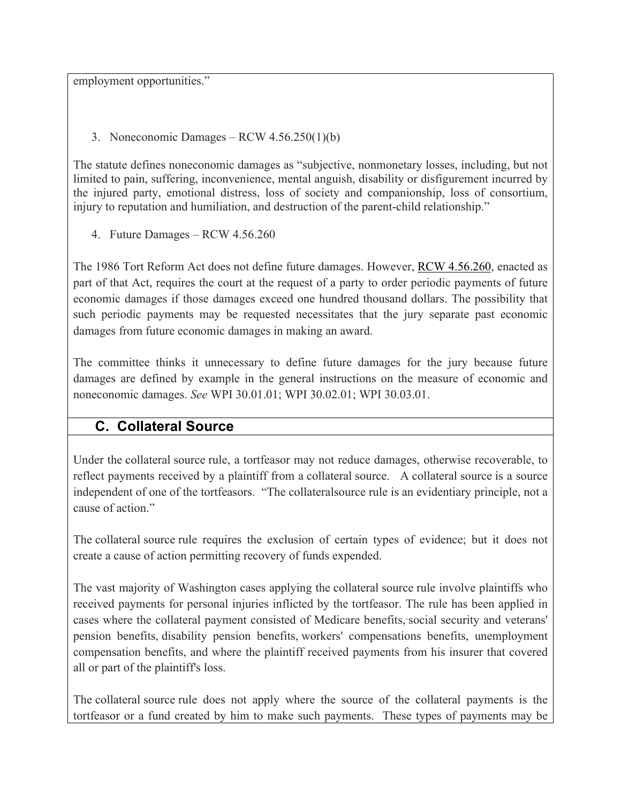employment opportunities."

3. Noneconomic Damages – RCW 4.56.250(1)(b)

The statute defines noneconomic damages as "subjective, nonmonetary losses, including, but not limited to pain, suffering, inconvenience, mental anguish, disability or disfigurement incurred by the injured party, emotional distress, loss of society and companionship, loss of consortium, injury to reputation and humiliation, and destruction of the parent-child relationship."

4. Future Damages – RCW 4.56.260

The 1986 Tort Reform Act does not define future damages. However, RCW 4.56.260, enacted as part of that Act, requires the court at the request of a party to order periodic payments of future economic damages if those damages exceed one hundred thousand dollars. The possibility that such periodic payments may be requested necessitates that the jury separate past economic damages from future economic damages in making an award.

The committee thinks it unnecessary to define future damages for the jury because future damages are defined by example in the general instructions on the measure of economic and noneconomic damages. *See* WPI 30.01.01; WPI 30.02.01; WPI 30.03.01.

# **C. Collateral Source**

Under the collateral source rule, a tortfeasor may not reduce damages, otherwise recoverable, to reflect payments received by a plaintiff from a collateral source. A collateral source is a source independent of one of the tortfeasors. "The collateralsource rule is an evidentiary principle, not a cause of action."

The collateral source rule requires the exclusion of certain types of evidence; but it does not create a cause of action permitting recovery of funds expended.

The vast majority of Washington cases applying the collateral source rule involve plaintiffs who received payments for personal injuries inflicted by the tortfeasor. The rule has been applied in cases where the collateral payment consisted of Medicare benefits, social security and veterans' pension benefits, disability pension benefits, workers' compensations benefits, unemployment compensation benefits, and where the plaintiff received payments from his insurer that covered all or part of the plaintiff's loss.

The collateral source rule does not apply where the source of the collateral payments is the tortfeasor or a fund created by him to make such payments. These types of payments may be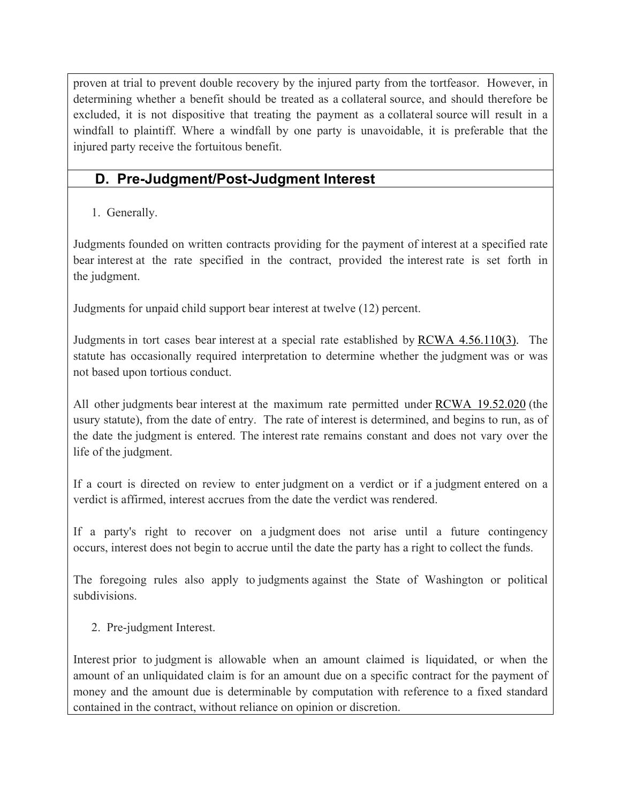proven at trial to prevent double recovery by the injured party from the tortfeasor. However, in determining whether a benefit should be treated as a collateral source, and should therefore be excluded, it is not dispositive that treating the payment as a collateral source will result in a windfall to plaintiff. Where a windfall by one party is unavoidable, it is preferable that the injured party receive the fortuitous benefit.

## **D. Pre-Judgment/Post-Judgment Interest**

1. Generally.

Judgments founded on written contracts providing for the payment of interest at a specified rate bear interest at the rate specified in the contract, provided the interest rate is set forth in the judgment.

Judgments for unpaid child support bear interest at twelve (12) percent.

Judgments in tort cases bear interest at a special rate established by RCWA 4.56.110(3). The statute has occasionally required interpretation to determine whether the judgment was or was not based upon tortious conduct.

All other judgments bear interest at the maximum rate permitted under RCWA 19.52.020 (the usury statute), from the date of entry. The rate of interest is determined, and begins to run, as of the date the judgment is entered. The interest rate remains constant and does not vary over the life of the judgment.

If a court is directed on review to enter judgment on a verdict or if a judgment entered on a verdict is affirmed, interest accrues from the date the verdict was rendered.

If a party's right to recover on a judgment does not arise until a future contingency occurs, interest does not begin to accrue until the date the party has a right to collect the funds.

The foregoing rules also apply to judgments against the State of Washington or political subdivisions.

2. Pre-judgment Interest.

Interest prior to judgment is allowable when an amount claimed is liquidated, or when the amount of an unliquidated claim is for an amount due on a specific contract for the payment of money and the amount due is determinable by computation with reference to a fixed standard contained in the contract, without reliance on opinion or discretion.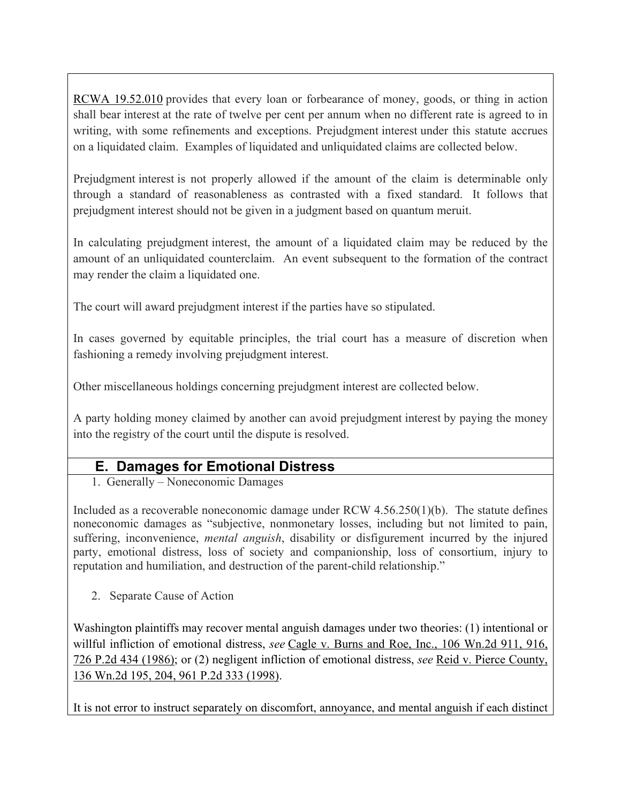RCWA 19.52.010 provides that every loan or forbearance of money, goods, or thing in action shall bear interest at the rate of twelve per cent per annum when no different rate is agreed to in writing, with some refinements and exceptions. Prejudgment interest under this statute accrues on a liquidated claim. Examples of liquidated and unliquidated claims are collected below.

Prejudgment interest is not properly allowed if the amount of the claim is determinable only through a standard of reasonableness as contrasted with a fixed standard. It follows that prejudgment interest should not be given in a judgment based on quantum meruit.

In calculating prejudgment interest, the amount of a liquidated claim may be reduced by the amount of an unliquidated counterclaim. An event subsequent to the formation of the contract may render the claim a liquidated one.

The court will award prejudgment interest if the parties have so stipulated.

In cases governed by equitable principles, the trial court has a measure of discretion when fashioning a remedy involving prejudgment interest.

Other miscellaneous holdings concerning prejudgment interest are collected below.

A party holding money claimed by another can avoid prejudgment interest by paying the money into the registry of the court until the dispute is resolved.

### **E. Damages for Emotional Distress**

1. Generally – Noneconomic Damages

Included as a recoverable noneconomic damage under RCW 4.56.250(1)(b). The statute defines noneconomic damages as "subjective, nonmonetary losses, including but not limited to pain, suffering, inconvenience, *mental anguish*, disability or disfigurement incurred by the injured party, emotional distress, loss of society and companionship, loss of consortium, injury to reputation and humiliation, and destruction of the parent-child relationship."

2. Separate Cause of Action

Washington plaintiffs may recover mental anguish damages under two theories: (1) intentional or willful infliction of emotional distress, *see* Cagle v. Burns and Roe, Inc., 106 Wn.2d 911, 916, 726 P.2d 434 (1986); or (2) negligent infliction of emotional distress, *see* Reid v. Pierce County, 136 Wn.2d 195, 204, 961 P.2d 333 (1998).

It is not error to instruct separately on discomfort, annoyance, and mental anguish if each distinct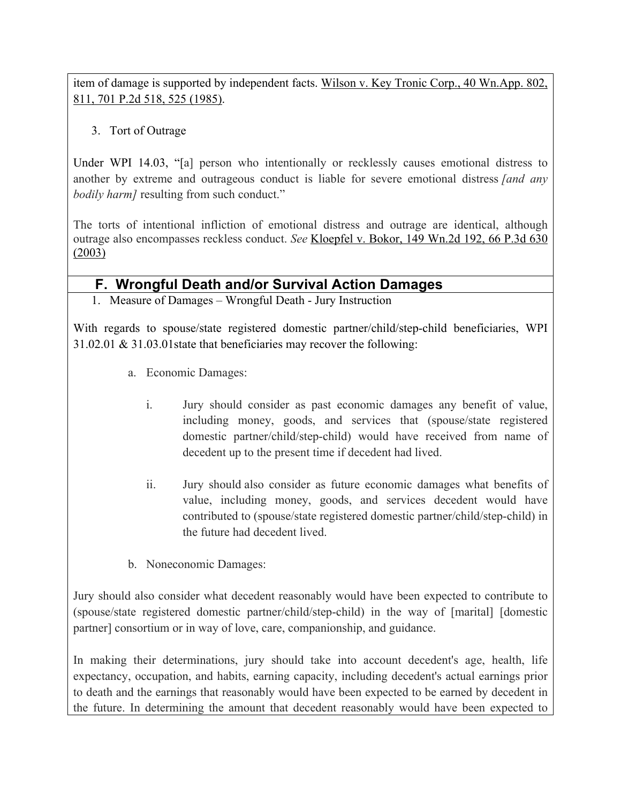item of damage is supported by independent facts. Wilson v. Key Tronic Corp., 40 Wn.App. 802, 811, 701 P.2d 518, 525 (1985).

#### 3. Tort of Outrage

Under WPI 14.03, "[a] person who intentionally or recklessly causes emotional distress to another by extreme and outrageous conduct is liable for severe emotional distress *[and any bodily harm]* resulting from such conduct."

The torts of intentional infliction of emotional distress and outrage are identical, although outrage also encompasses reckless conduct. *See* Kloepfel v. Bokor, 149 Wn.2d 192, 66 P.3d 630 (2003)

### **F. Wrongful Death and/or Survival Action Damages**

1. Measure of Damages – Wrongful Death - Jury Instruction

With regards to spouse/state registered domestic partner/child/step-child beneficiaries, WPI 31.02.01 & 31.03.01state that beneficiaries may recover the following:

- a. Economic Damages:
	- i. Jury should consider as past economic damages any benefit of value, including money, goods, and services that (spouse/state registered domestic partner/child/step-child) would have received from name of decedent up to the present time if decedent had lived.
	- ii. Jury should also consider as future economic damages what benefits of value, including money, goods, and services decedent would have contributed to (spouse/state registered domestic partner/child/step-child) in the future had decedent lived.
- b. Noneconomic Damages:

Jury should also consider what decedent reasonably would have been expected to contribute to (spouse/state registered domestic partner/child/step-child) in the way of [marital] [domestic partner] consortium or in way of love, care, companionship, and guidance.

In making their determinations, jury should take into account decedent's age, health, life expectancy, occupation, and habits, earning capacity, including decedent's actual earnings prior to death and the earnings that reasonably would have been expected to be earned by decedent in the future. In determining the amount that decedent reasonably would have been expected to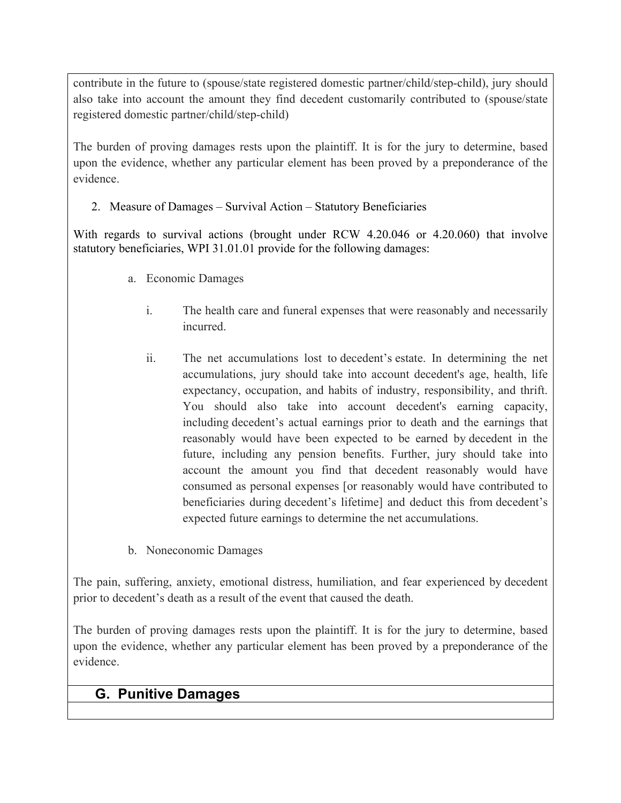contribute in the future to (spouse/state registered domestic partner/child/step-child), jury should also take into account the amount they find decedent customarily contributed to (spouse/state registered domestic partner/child/step-child)

The burden of proving damages rests upon the plaintiff. It is for the jury to determine, based upon the evidence, whether any particular element has been proved by a preponderance of the evidence.

2. Measure of Damages – Survival Action – Statutory Beneficiaries

With regards to survival actions (brought under RCW 4.20.046 or 4.20.060) that involve statutory beneficiaries, WPI 31.01.01 provide for the following damages:

- a. Economic Damages
	- i. The health care and funeral expenses that were reasonably and necessarily incurred.
	- ii. The net accumulations lost to decedent's estate. In determining the net accumulations, jury should take into account decedent's age, health, life expectancy, occupation, and habits of industry, responsibility, and thrift. You should also take into account decedent's earning capacity, including decedent's actual earnings prior to death and the earnings that reasonably would have been expected to be earned by decedent in the future, including any pension benefits. Further, jury should take into account the amount you find that decedent reasonably would have consumed as personal expenses [or reasonably would have contributed to beneficiaries during decedent's lifetime] and deduct this from decedent's expected future earnings to determine the net accumulations.
- b. Noneconomic Damages

The pain, suffering, anxiety, emotional distress, humiliation, and fear experienced by decedent prior to decedent's death as a result of the event that caused the death.

The burden of proving damages rests upon the plaintiff. It is for the jury to determine, based upon the evidence, whether any particular element has been proved by a preponderance of the evidence.

## **G. Punitive Damages**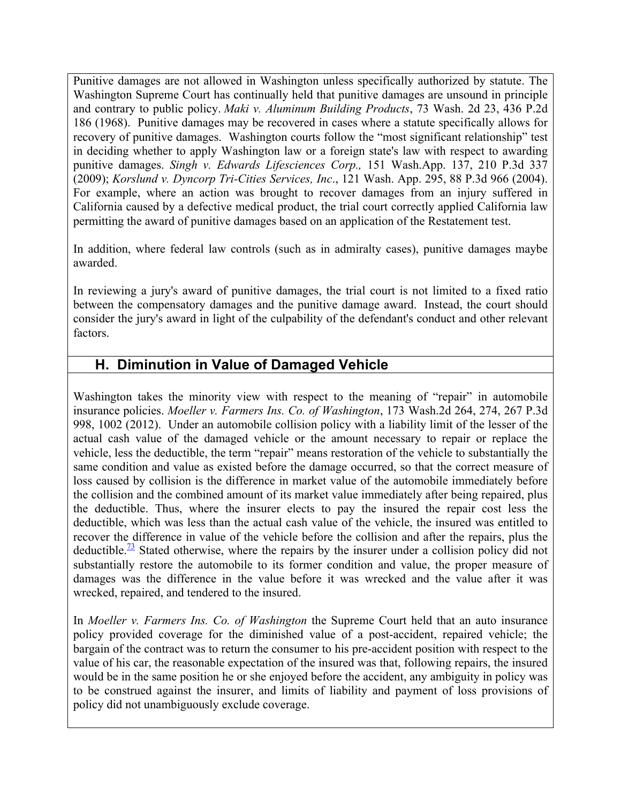Punitive damages are not allowed in Washington unless specifically authorized by statute. The Washington Supreme Court has continually held that punitive damages are unsound in principle and contrary to public policy. *Maki v. Aluminum Building Products*, 73 Wash. 2d 23, 436 P.2d 186 (1968). Punitive damages may be recovered in cases where a statute specifically allows for recovery of punitive damages. Washington courts follow the "most significant relationship" test in deciding whether to apply Washington law or a foreign state's law with respect to awarding punitive damages. *Singh v. Edwards Lifesciences Corp.,* 151 Wash.App. 137, 210 P.3d 337 (2009); *Korslund v. Dyncorp Tri-Cities Services, Inc*., 121 Wash. App. 295, 88 P.3d 966 (2004). For example, where an action was brought to recover damages from an injury suffered in California caused by a defective medical product, the trial court correctly applied California law permitting the award of punitive damages based on an application of the Restatement test.

In addition, where federal law controls (such as in admiralty cases), punitive damages maybe awarded.

In reviewing a jury's award of punitive damages, the trial court is not limited to a fixed ratio between the compensatory damages and the punitive damage award. Instead, the court should consider the jury's award in light of the culpability of the defendant's conduct and other relevant factors.

### **H. Diminution in Value of Damaged Vehicle**

Washington takes the minority view with respect to the meaning of "repair" in automobile insurance policies. *Moeller v. Farmers Ins. Co. of Washington*, 173 Wash.2d 264, 274, 267 P.3d 998, 1002 (2012). Under an automobile collision policy with a liability limit of the lesser of the actual cash value of the damaged vehicle or the amount necessary to repair or replace the vehicle, less the deductible, the term "repair" means restoration of the vehicle to substantially the same condition and value as existed before the damage occurred, so that the correct measure of loss caused by collision is the difference in market value of the automobile immediately before the collision and the combined amount of its market value immediately after being repaired, plus the deductible. Thus, where the insurer elects to pay the insured the repair cost less the deductible, which was less than the actual cash value of the vehicle, the insured was entitled to recover the difference in value of the vehicle before the collision and after the repairs, plus the deductible.<sup>73</sup> Stated otherwise, where the repairs by the insurer under a collision policy did not substantially restore the automobile to its former condition and value, the proper measure of damages was the difference in the value before it was wrecked and the value after it was wrecked, repaired, and tendered to the insured.

In *Moeller v. Farmers Ins. Co. of Washington* the Supreme Court held that an auto insurance policy provided coverage for the diminished value of a post-accident, repaired vehicle; the bargain of the contract was to return the consumer to his pre-accident position with respect to the value of his car, the reasonable expectation of the insured was that, following repairs, the insured would be in the same position he or she enjoyed before the accident, any ambiguity in policy was to be construed against the insurer, and limits of liability and payment of loss provisions of policy did not unambiguously exclude coverage.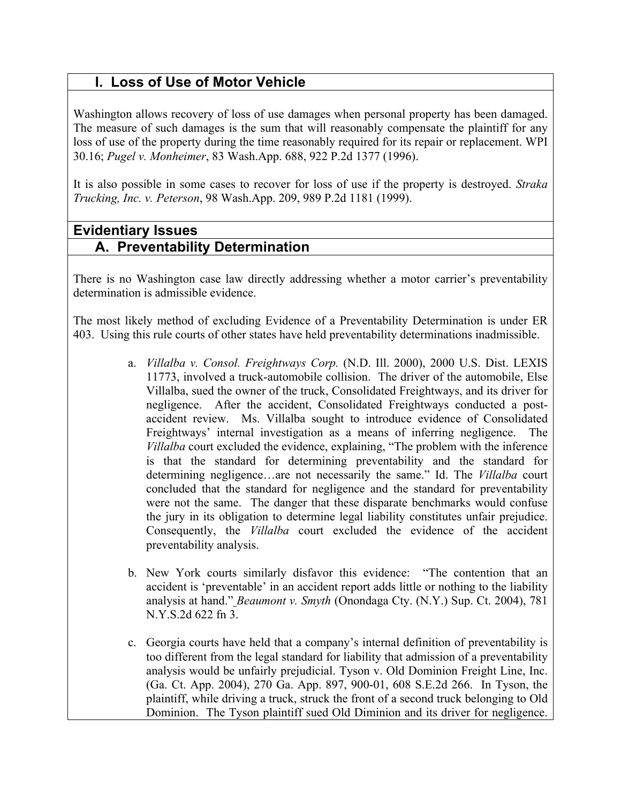# **I. Loss of Use of Motor Vehicle**

Washington allows recovery of loss of use damages when personal property has been damaged. The measure of such damages is the sum that will reasonably compensate the plaintiff for any loss of use of the property during the time reasonably required for its repair or replacement. WPI 30.16; *Pugel v. Monheimer*, 83 Wash.App. 688, 922 P.2d 1377 (1996).

It is also possible in some cases to recover for loss of use if the property is destroyed. *Straka Trucking, Inc. v. Peterson*, 98 Wash.App. 209, 989 P.2d 1181 (1999).

### **Evidentiary Issues A. Preventability Determination**

There is no Washington case law directly addressing whether a motor carrier's preventability determination is admissible evidence.

The most likely method of excluding Evidence of a Preventability Determination is under ER 403. Using this rule courts of other states have held preventability determinations inadmissible.

- a. *Villalba v. Consol. Freightways Corp.* (N.D. Ill. 2000), 2000 U.S. Dist. LEXIS 11773, involved a truck-automobile collision. The driver of the automobile, Else Villalba, sued the owner of the truck, Consolidated Freightways, and its driver for negligence. After the accident, Consolidated Freightways conducted a postaccident review. Ms. Villalba sought to introduce evidence of Consolidated Freightways' internal investigation as a means of inferring negligence. The *Villalba* court excluded the evidence, explaining, "The problem with the inference is that the standard for determining preventability and the standard for determining negligence…are not necessarily the same." Id. The *Villalba* court concluded that the standard for negligence and the standard for preventability were not the same. The danger that these disparate benchmarks would confuse the jury in its obligation to determine legal liability constitutes unfair prejudice. Consequently, the *Villalba* court excluded the evidence of the accident preventability analysis.
- b. New York courts similarly disfavor this evidence: "The contention that an accident is 'preventable' in an accident report adds little or nothing to the liability analysis at hand." *Beaumont v. Smyth* (Onondaga Cty. (N.Y.) Sup. Ct. 2004), 781 N.Y.S.2d 622 fn 3.
- c. Georgia courts have held that a company's internal definition of preventability is too different from the legal standard for liability that admission of a preventability analysis would be unfairly prejudicial. Tyson v. Old Dominion Freight Line, Inc. (Ga. Ct. App. 2004), 270 Ga. App. 897, 900-01, 608 S.E.2d 266. In Tyson, the plaintiff, while driving a truck, struck the front of a second truck belonging to Old Dominion. The Tyson plaintiff sued Old Diminion and its driver for negligence.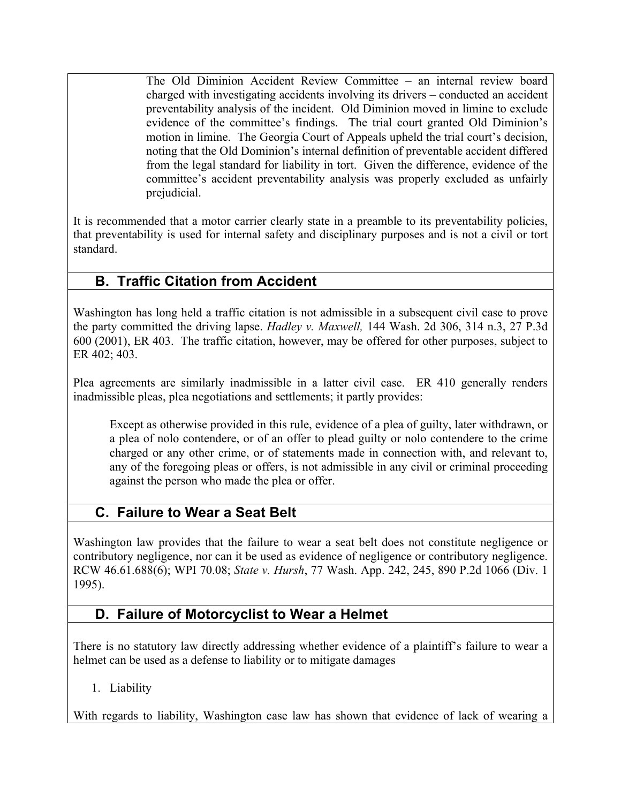The Old Diminion Accident Review Committee – an internal review board charged with investigating accidents involving its drivers – conducted an accident preventability analysis of the incident. Old Diminion moved in limine to exclude evidence of the committee's findings. The trial court granted Old Diminion's motion in limine. The Georgia Court of Appeals upheld the trial court's decision, noting that the Old Dominion's internal definition of preventable accident differed from the legal standard for liability in tort. Given the difference, evidence of the committee's accident preventability analysis was properly excluded as unfairly prejudicial.

It is recommended that a motor carrier clearly state in a preamble to its preventability policies, that preventability is used for internal safety and disciplinary purposes and is not a civil or tort standard.

# **B. Traffic Citation from Accident**

Washington has long held a traffic citation is not admissible in a subsequent civil case to prove the party committed the driving lapse. *Hadley v. Maxwell,* 144 Wash. 2d 306, 314 n.3, 27 P.3d 600 (2001), ER 403. The traffic citation, however, may be offered for other purposes, subject to ER 402; 403.

Plea agreements are similarly inadmissible in a latter civil case. ER 410 generally renders inadmissible pleas, plea negotiations and settlements; it partly provides:

Except as otherwise provided in this rule, evidence of a plea of guilty, later withdrawn, or a plea of nolo contendere, or of an offer to plead guilty or nolo contendere to the crime charged or any other crime, or of statements made in connection with, and relevant to, any of the foregoing pleas or offers, is not admissible in any civil or criminal proceeding against the person who made the plea or offer.

# **C. Failure to Wear a Seat Belt**

Washington law provides that the failure to wear a seat belt does not constitute negligence or contributory negligence, nor can it be used as evidence of negligence or contributory negligence. RCW 46.61.688(6); WPI 70.08; *State v. Hursh*, 77 Wash. App. 242, 245, 890 P.2d 1066 (Div. 1 1995).

# **D. Failure of Motorcyclist to Wear a Helmet**

There is no statutory law directly addressing whether evidence of a plaintiff's failure to wear a helmet can be used as a defense to liability or to mitigate damages

1. Liability

With regards to liability, Washington case law has shown that evidence of lack of wearing a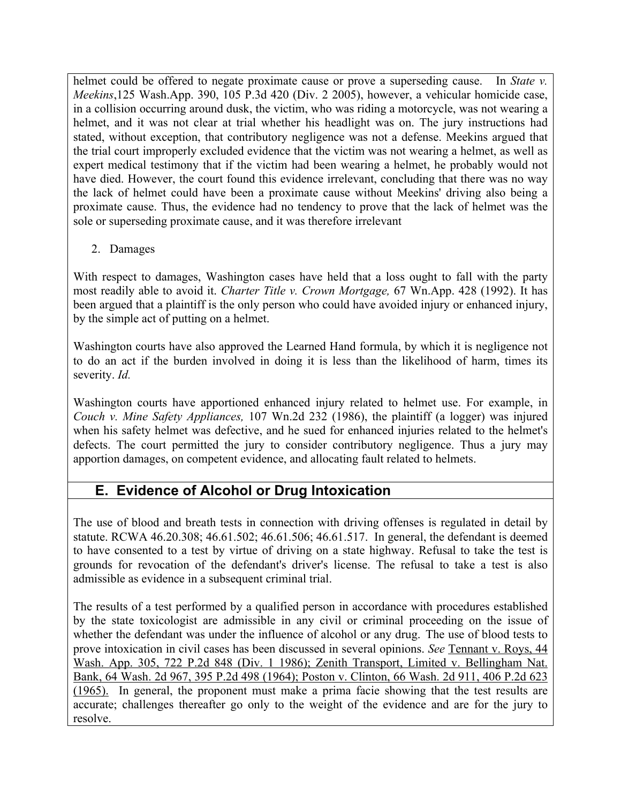helmet could be offered to negate proximate cause or prove a superseding cause. In *State v. Meekins*,125 Wash.App. 390, 105 P.3d 420 (Div. 2 2005), however, a vehicular homicide case, in a collision occurring around dusk, the victim, who was riding a motorcycle, was not wearing a helmet, and it was not clear at trial whether his headlight was on. The jury instructions had stated, without exception, that contributory negligence was not a defense. Meekins argued that the trial court improperly excluded evidence that the victim was not wearing a helmet, as well as expert medical testimony that if the victim had been wearing a helmet, he probably would not have died. However, the court found this evidence irrelevant, concluding that there was no way the lack of helmet could have been a proximate cause without Meekins' driving also being a proximate cause. Thus, the evidence had no tendency to prove that the lack of helmet was the sole or superseding proximate cause, and it was therefore irrelevant

2. Damages

With respect to damages, Washington cases have held that a loss ought to fall with the party most readily able to avoid it. *Charter Title v. Crown Mortgage,* 67 Wn.App. 428 (1992). It has been argued that a plaintiff is the only person who could have avoided injury or enhanced injury, by the simple act of putting on a helmet.

Washington courts have also approved the Learned Hand formula, by which it is negligence not to do an act if the burden involved in doing it is less than the likelihood of harm, times its severity. *Id.*

Washington courts have apportioned enhanced injury related to helmet use. For example, in *Couch v. Mine Safety Appliances,* 107 Wn.2d 232 (1986), the plaintiff (a logger) was injured when his safety helmet was defective, and he sued for enhanced injuries related to the helmet's defects. The court permitted the jury to consider contributory negligence. Thus a jury may apportion damages, on competent evidence, and allocating fault related to helmets.

# **E. Evidence of Alcohol or Drug Intoxication**

The use of blood and breath tests in connection with driving offenses is regulated in detail by statute. RCWA 46.20.308; 46.61.502; 46.61.506; 46.61.517. In general, the defendant is deemed to have consented to a test by virtue of driving on a state highway. Refusal to take the test is grounds for revocation of the defendant's driver's license. The refusal to take a test is also admissible as evidence in a subsequent criminal trial.

The results of a test performed by a qualified person in accordance with procedures established by the state toxicologist are admissible in any civil or criminal proceeding on the issue of whether the defendant was under the influence of alcohol or any drug. The use of blood tests to prove intoxication in civil cases has been discussed in several opinions. *See* Tennant v. Roys, 44 Wash. App. 305, 722 P.2d 848 (Div. 1 1986); Zenith Transport, Limited v. Bellingham Nat. Bank, 64 Wash. 2d 967, 395 P.2d 498 (1964); Poston v. Clinton, 66 Wash. 2d 911, 406 P.2d 623 (1965). In general, the proponent must make a prima facie showing that the test results are accurate; challenges thereafter go only to the weight of the evidence and are for the jury to resolve.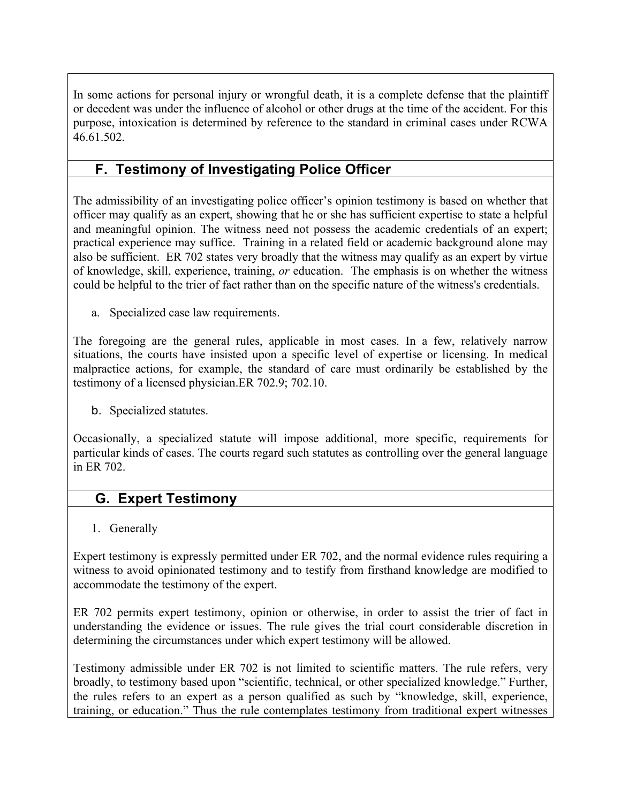In some actions for personal injury or wrongful death, it is a complete defense that the plaintiff or decedent was under the influence of alcohol or other drugs at the time of the accident. For this purpose, intoxication is determined by reference to the standard in criminal cases under RCWA 46.61.502.

# **F. Testimony of Investigating Police Officer**

The admissibility of an investigating police officer's opinion testimony is based on whether that officer may qualify as an expert, showing that he or she has sufficient expertise to state a helpful and meaningful opinion. The witness need not possess the academic credentials of an expert; practical experience may suffice. Training in a related field or academic background alone may also be sufficient. ER 702 states very broadly that the witness may qualify as an expert by virtue of knowledge, skill, experience, training, *or* education. The emphasis is on whether the witness could be helpful to the trier of fact rather than on the specific nature of the witness's credentials.

a. Specialized case law requirements.

The foregoing are the general rules, applicable in most cases. In a few, relatively narrow situations, the courts have insisted upon a specific level of expertise or licensing. In medical malpractice actions, for example, the standard of care must ordinarily be established by the testimony of a licensed physician.ER 702.9; 702.10.

b. Specialized statutes.

Occasionally, a specialized statute will impose additional, more specific, requirements for particular kinds of cases. The courts regard such statutes as controlling over the general language in ER 702.

## **G. Expert Testimony**

1. Generally

Expert testimony is expressly permitted under ER 702, and the normal evidence rules requiring a witness to avoid opinionated testimony and to testify from firsthand knowledge are modified to accommodate the testimony of the expert.

ER 702 permits expert testimony, opinion or otherwise, in order to assist the trier of fact in understanding the evidence or issues. The rule gives the trial court considerable discretion in determining the circumstances under which expert testimony will be allowed.

Testimony admissible under ER 702 is not limited to scientific matters. The rule refers, very broadly, to testimony based upon "scientific, technical, or other specialized knowledge." Further, the rules refers to an expert as a person qualified as such by "knowledge, skill, experience, training, or education." Thus the rule contemplates testimony from traditional expert witnesses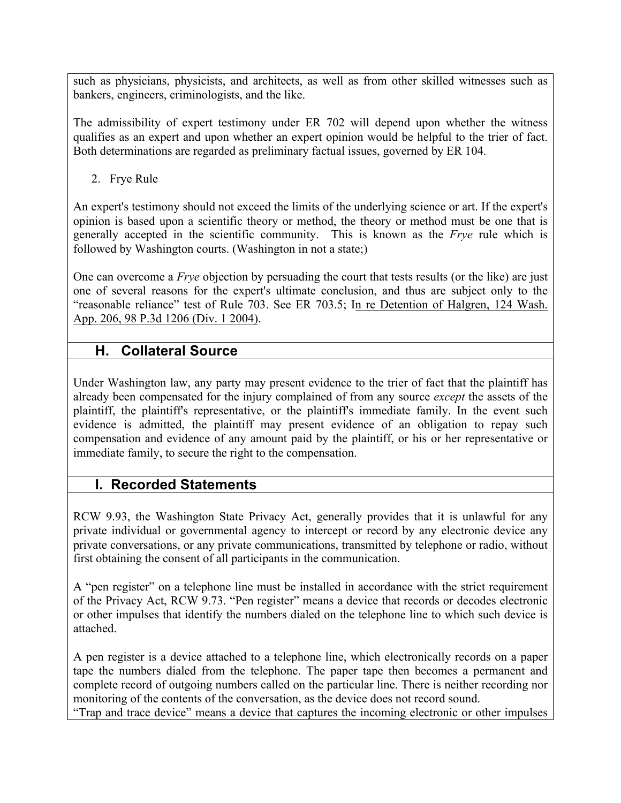such as physicians, physicists, and architects, as well as from other skilled witnesses such as bankers, engineers, criminologists, and the like.

The admissibility of expert testimony under ER 702 will depend upon whether the witness qualifies as an expert and upon whether an expert opinion would be helpful to the trier of fact. Both determinations are regarded as preliminary factual issues, governed by ER 104.

2. Frye Rule

An expert's testimony should not exceed the limits of the underlying science or art. If the expert's opinion is based upon a scientific theory or method, the theory or method must be one that is generally accepted in the scientific community. This is known as the *Frye* rule which is followed by Washington courts. (Washington in not a state;)

One can overcome a *Frye* objection by persuading the court that tests results (or the like) are just one of several reasons for the expert's ultimate conclusion, and thus are subject only to the "reasonable reliance" test of Rule 703. See ER 703.5; In re Detention of Halgren, 124 Wash. App. 206, 98 P.3d 1206 (Div. 1 2004).

## **H. Collateral Source**

Under Washington law, any party may present evidence to the trier of fact that the plaintiff has already been compensated for the injury complained of from any source *except* the assets of the plaintiff, the plaintiff's representative, or the plaintiff's immediate family. In the event such evidence is admitted, the plaintiff may present evidence of an obligation to repay such compensation and evidence of any amount paid by the plaintiff, or his or her representative or immediate family, to secure the right to the compensation.

# **I. Recorded Statements**

RCW 9.93, the Washington State Privacy Act, generally provides that it is unlawful for any private individual or governmental agency to intercept or record by any electronic device any private conversations, or any private communications, transmitted by telephone or radio, without first obtaining the consent of all participants in the communication.

A "pen register" on a telephone line must be installed in accordance with the strict requirement of the Privacy Act, RCW 9.73. "Pen register" means a device that records or decodes electronic or other impulses that identify the numbers dialed on the telephone line to which such device is attached.

A pen register is a device attached to a telephone line, which electronically records on a paper tape the numbers dialed from the telephone. The paper tape then becomes a permanent and complete record of outgoing numbers called on the particular line. There is neither recording nor monitoring of the contents of the conversation, as the device does not record sound.

"Trap and trace device" means a device that captures the incoming electronic or other impulses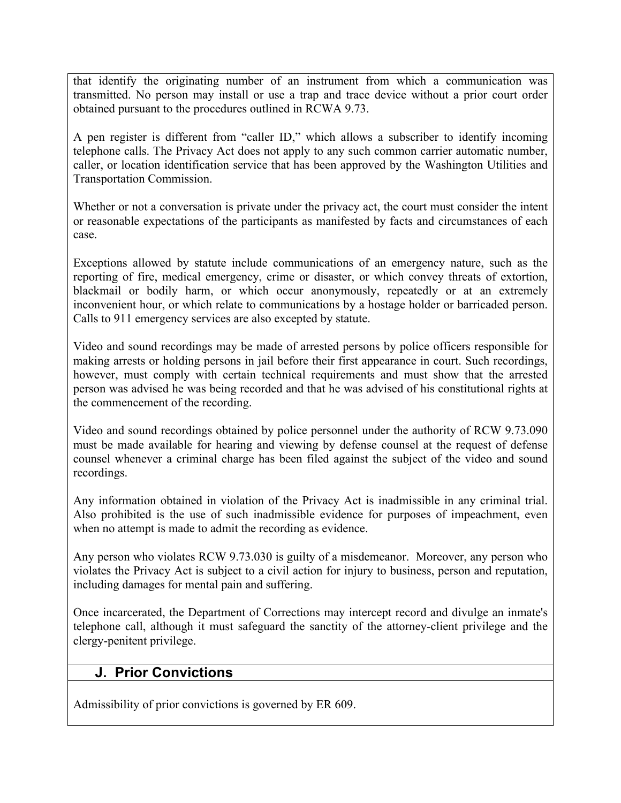that identify the originating number of an instrument from which a communication was transmitted. No person may install or use a trap and trace device without a prior court order obtained pursuant to the procedures outlined in RCWA 9.73.

A pen register is different from "caller ID," which allows a subscriber to identify incoming telephone calls. The Privacy Act does not apply to any such common carrier automatic number, caller, or location identification service that has been approved by the Washington Utilities and Transportation Commission.

Whether or not a conversation is private under the privacy act, the court must consider the intent or reasonable expectations of the participants as manifested by facts and circumstances of each case.

Exceptions allowed by statute include communications of an emergency nature, such as the reporting of fire, medical emergency, crime or disaster, or which convey threats of extortion, blackmail or bodily harm, or which occur anonymously, repeatedly or at an extremely inconvenient hour, or which relate to communications by a hostage holder or barricaded person. Calls to 911 emergency services are also excepted by statute.

Video and sound recordings may be made of arrested persons by police officers responsible for making arrests or holding persons in jail before their first appearance in court. Such recordings, however, must comply with certain technical requirements and must show that the arrested person was advised he was being recorded and that he was advised of his constitutional rights at the commencement of the recording.

Video and sound recordings obtained by police personnel under the authority of RCW 9.73.090 must be made available for hearing and viewing by defense counsel at the request of defense counsel whenever a criminal charge has been filed against the subject of the video and sound recordings.

Any information obtained in violation of the Privacy Act is inadmissible in any criminal trial. Also prohibited is the use of such inadmissible evidence for purposes of impeachment, even when no attempt is made to admit the recording as evidence.

Any person who violates RCW 9.73.030 is guilty of a misdemeanor. Moreover, any person who violates the Privacy Act is subject to a civil action for injury to business, person and reputation, including damages for mental pain and suffering.

Once incarcerated, the Department of Corrections may intercept record and divulge an inmate's telephone call, although it must safeguard the sanctity of the attorney-client privilege and the clergy-penitent privilege.

#### **J. Prior Convictions**

Admissibility of prior convictions is governed by ER 609.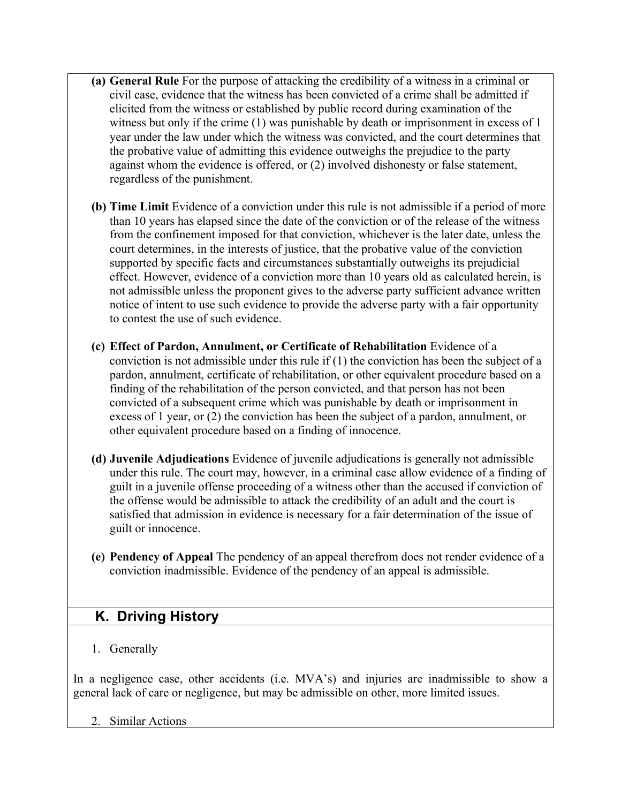- **(a) General Rule** For the purpose of attacking the credibility of a witness in a criminal or civil case, evidence that the witness has been convicted of a crime shall be admitted if elicited from the witness or established by public record during examination of the witness but only if the crime (1) was punishable by death or imprisonment in excess of 1 year under the law under which the witness was convicted, and the court determines that the probative value of admitting this evidence outweighs the prejudice to the party against whom the evidence is offered, or (2) involved dishonesty or false statement, regardless of the punishment.
- **(b) Time Limit** Evidence of a conviction under this rule is not admissible if a period of more than 10 years has elapsed since the date of the conviction or of the release of the witness from the confinement imposed for that conviction, whichever is the later date, unless the court determines, in the interests of justice, that the probative value of the conviction supported by specific facts and circumstances substantially outweighs its prejudicial effect. However, evidence of a conviction more than 10 years old as calculated herein, is not admissible unless the proponent gives to the adverse party sufficient advance written notice of intent to use such evidence to provide the adverse party with a fair opportunity to contest the use of such evidence.
- **(c) Effect of Pardon, Annulment, or Certificate of Rehabilitation** Evidence of a conviction is not admissible under this rule if (1) the conviction has been the subject of a pardon, annulment, certificate of rehabilitation, or other equivalent procedure based on a finding of the rehabilitation of the person convicted, and that person has not been convicted of a subsequent crime which was punishable by death or imprisonment in excess of 1 year, or (2) the conviction has been the subject of a pardon, annulment, or other equivalent procedure based on a finding of innocence.
- **(d) Juvenile Adjudications** Evidence of juvenile adjudications is generally not admissible under this rule. The court may, however, in a criminal case allow evidence of a finding of guilt in a juvenile offense proceeding of a witness other than the accused if conviction of the offense would be admissible to attack the credibility of an adult and the court is satisfied that admission in evidence is necessary for a fair determination of the issue of guilt or innocence.
- **(e) Pendency of Appeal** The pendency of an appeal therefrom does not render evidence of a conviction inadmissible. Evidence of the pendency of an appeal is admissible.

# **K. Driving History**

1. Generally

In a negligence case, other accidents (i.e. MVA's) and injuries are inadmissible to show a general lack of care or negligence, but may be admissible on other, more limited issues.

2. Similar Actions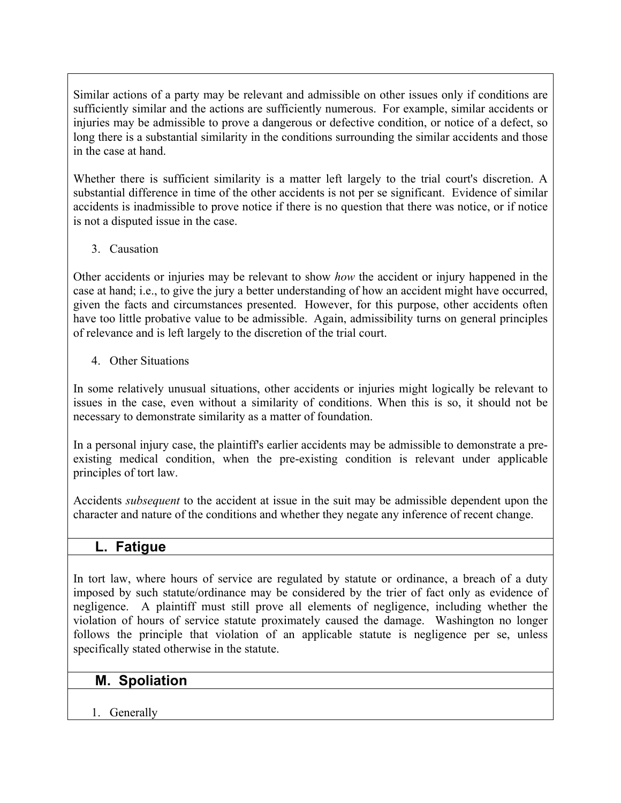Similar actions of a party may be relevant and admissible on other issues only if conditions are sufficiently similar and the actions are sufficiently numerous. For example, similar accidents or injuries may be admissible to prove a dangerous or defective condition, or notice of a defect, so long there is a substantial similarity in the conditions surrounding the similar accidents and those in the case at hand.

Whether there is sufficient similarity is a matter left largely to the trial court's discretion. A substantial difference in time of the other accidents is not per se significant. Evidence of similar accidents is inadmissible to prove notice if there is no question that there was notice, or if notice is not a disputed issue in the case.

#### 3. Causation

Other accidents or injuries may be relevant to show *how* the accident or injury happened in the case at hand; i.e., to give the jury a better understanding of how an accident might have occurred, given the facts and circumstances presented. However, for this purpose, other accidents often have too little probative value to be admissible. Again, admissibility turns on general principles of relevance and is left largely to the discretion of the trial court.

#### 4. Other Situations

In some relatively unusual situations, other accidents or injuries might logically be relevant to issues in the case, even without a similarity of conditions. When this is so, it should not be necessary to demonstrate similarity as a matter of foundation.

In a personal injury case, the plaintiff's earlier accidents may be admissible to demonstrate a preexisting medical condition, when the pre-existing condition is relevant under applicable principles of tort law.

Accidents *subsequent* to the accident at issue in the suit may be admissible dependent upon the character and nature of the conditions and whether they negate any inference of recent change.

### **L. Fatigue**

In tort law, where hours of service are regulated by statute or ordinance, a breach of a duty imposed by such statute/ordinance may be considered by the trier of fact only as evidence of negligence. A plaintiff must still prove all elements of negligence, including whether the violation of hours of service statute proximately caused the damage. Washington no longer follows the principle that violation of an applicable statute is negligence per se, unless specifically stated otherwise in the statute.

## **M. Spoliation**

1. Generally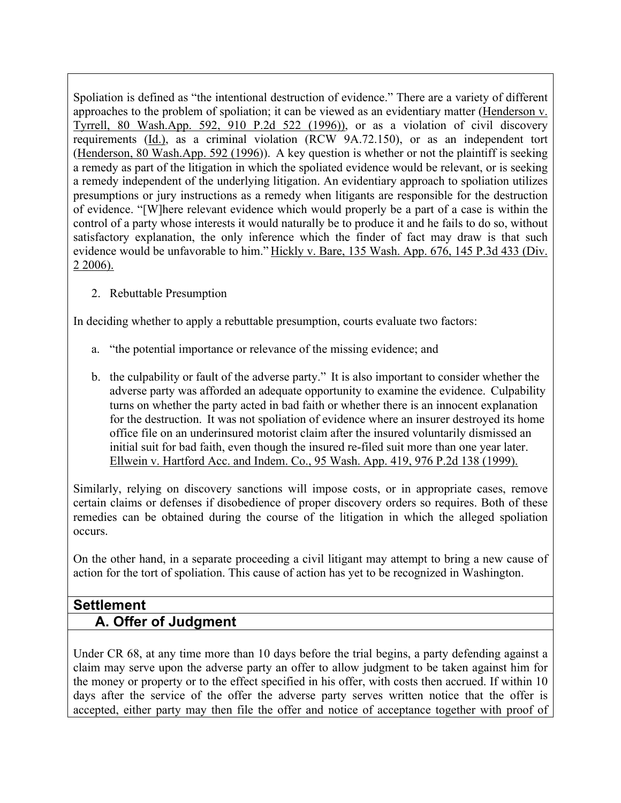Spoliation is defined as "the intentional destruction of evidence." There are a variety of different approaches to the problem of spoliation; it can be viewed as an evidentiary matter (Henderson v. Tyrrell, 80 Wash.App. 592, 910 P.2d 522 (1996)), or as a violation of civil discovery requirements (Id.), as a criminal violation (RCW 9A.72.150), or as an independent tort (Henderson, 80 Wash.App. 592 (1996)). A key question is whether or not the plaintiff is seeking a remedy as part of the litigation in which the spoliated evidence would be relevant, or is seeking a remedy independent of the underlying litigation. An evidentiary approach to spoliation utilizes presumptions or jury instructions as a remedy when litigants are responsible for the destruction of evidence. "[W]here relevant evidence which would properly be a part of a case is within the control of a party whose interests it would naturally be to produce it and he fails to do so, without satisfactory explanation, the only inference which the finder of fact may draw is that such evidence would be unfavorable to him." Hickly v. Bare, 135 Wash. App. 676, 145 P.3d 433 (Div. 2 2006).

2. Rebuttable Presumption

In deciding whether to apply a rebuttable presumption, courts evaluate two factors:

- a. "the potential importance or relevance of the missing evidence; and
- b. the culpability or fault of the adverse party." It is also important to consider whether the adverse party was afforded an adequate opportunity to examine the evidence. Culpability turns on whether the party acted in bad faith or whether there is an innocent explanation for the destruction. It was not spoliation of evidence where an insurer destroyed its home office file on an underinsured motorist claim after the insured voluntarily dismissed an initial suit for bad faith, even though the insured re-filed suit more than one year later. Ellwein v. Hartford Acc. and Indem. Co., 95 Wash. App. 419, 976 P.2d 138 (1999).

Similarly, relying on discovery sanctions will impose costs, or in appropriate cases, remove certain claims or defenses if disobedience of proper discovery orders so requires. Both of these remedies can be obtained during the course of the litigation in which the alleged spoliation occurs.

On the other hand, in a separate proceeding a civil litigant may attempt to bring a new cause of action for the tort of spoliation. This cause of action has yet to be recognized in Washington.

## **Settlement A. Offer of Judgment**

Under CR 68, at any time more than 10 days before the trial begins, a party defending against a claim may serve upon the adverse party an offer to allow judgment to be taken against him for the money or property or to the effect specified in his offer, with costs then accrued. If within 10 days after the service of the offer the adverse party serves written notice that the offer is accepted, either party may then file the offer and notice of acceptance together with proof of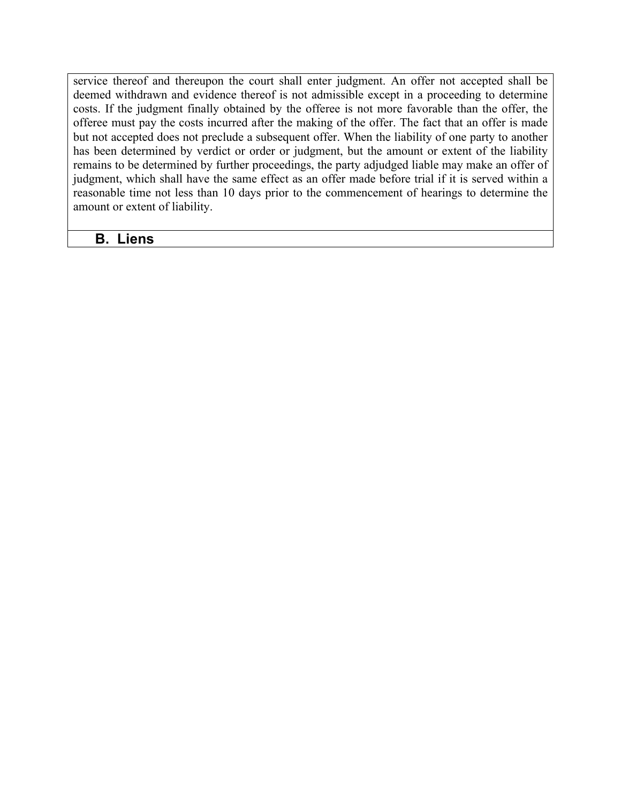service thereof and thereupon the court shall enter judgment. An offer not accepted shall be deemed withdrawn and evidence thereof is not admissible except in a proceeding to determine costs. If the judgment finally obtained by the offeree is not more favorable than the offer, the offeree must pay the costs incurred after the making of the offer. The fact that an offer is made but not accepted does not preclude a subsequent offer. When the liability of one party to another has been determined by verdict or order or judgment, but the amount or extent of the liability remains to be determined by further proceedings, the party adjudged liable may make an offer of judgment, which shall have the same effect as an offer made before trial if it is served within a reasonable time not less than 10 days prior to the commencement of hearings to determine the amount or extent of liability.

#### **B. Liens**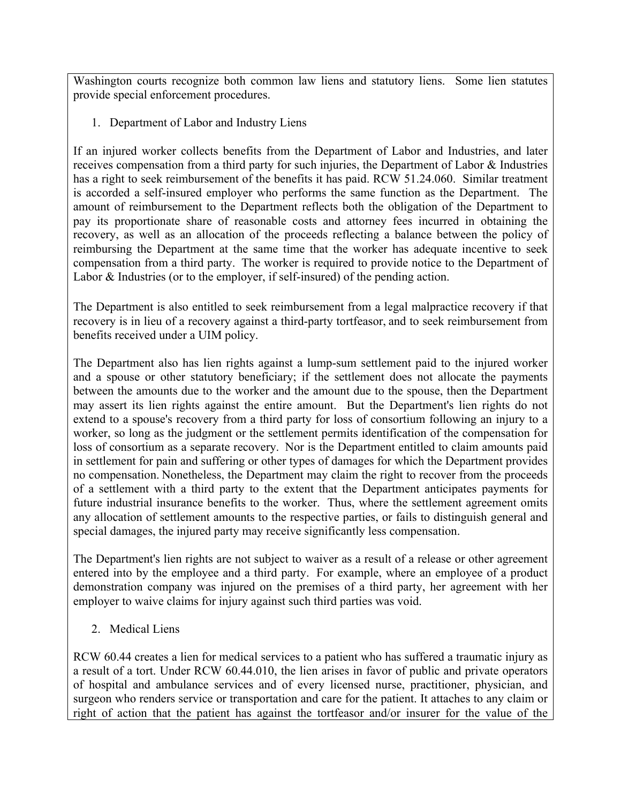Washington courts recognize both common law liens and statutory liens. Some lien statutes provide special enforcement procedures.

1. Department of Labor and Industry Liens

If an injured worker collects benefits from the Department of Labor and Industries, and later receives compensation from a third party for such injuries, the Department of Labor & Industries has a right to seek reimbursement of the benefits it has paid. RCW 51.24.060. Similar treatment is accorded a self-insured employer who performs the same function as the Department. The amount of reimbursement to the Department reflects both the obligation of the Department to pay its proportionate share of reasonable costs and attorney fees incurred in obtaining the recovery, as well as an allocation of the proceeds reflecting a balance between the policy of reimbursing the Department at the same time that the worker has adequate incentive to seek compensation from a third party. The worker is required to provide notice to the Department of Labor & Industries (or to the employer, if self-insured) of the pending action.

The Department is also entitled to seek reimbursement from a legal malpractice recovery if that recovery is in lieu of a recovery against a third-party tortfeasor, and to seek reimbursement from benefits received under a UIM policy.

The Department also has lien rights against a lump-sum settlement paid to the injured worker and a spouse or other statutory beneficiary; if the settlement does not allocate the payments between the amounts due to the worker and the amount due to the spouse, then the Department may assert its lien rights against the entire amount. But the Department's lien rights do not extend to a spouse's recovery from a third party for loss of consortium following an injury to a worker, so long as the judgment or the settlement permits identification of the compensation for loss of consortium as a separate recovery. Nor is the Department entitled to claim amounts paid in settlement for pain and suffering or other types of damages for which the Department provides no compensation. Nonetheless, the Department may claim the right to recover from the proceeds of a settlement with a third party to the extent that the Department anticipates payments for future industrial insurance benefits to the worker. Thus, where the settlement agreement omits any allocation of settlement amounts to the respective parties, or fails to distinguish general and special damages, the injured party may receive significantly less compensation.

The Department's lien rights are not subject to waiver as a result of a release or other agreement entered into by the employee and a third party. For example, where an employee of a product demonstration company was injured on the premises of a third party, her agreement with her employer to waive claims for injury against such third parties was void.

2. Medical Liens

RCW 60.44 creates a lien for medical services to a patient who has suffered a traumatic injury as a result of a tort. Under RCW 60.44.010, the lien arises in favor of public and private operators of hospital and ambulance services and of every licensed nurse, practitioner, physician, and surgeon who renders service or transportation and care for the patient. It attaches to any claim or right of action that the patient has against the tortfeasor and/or insurer for the value of the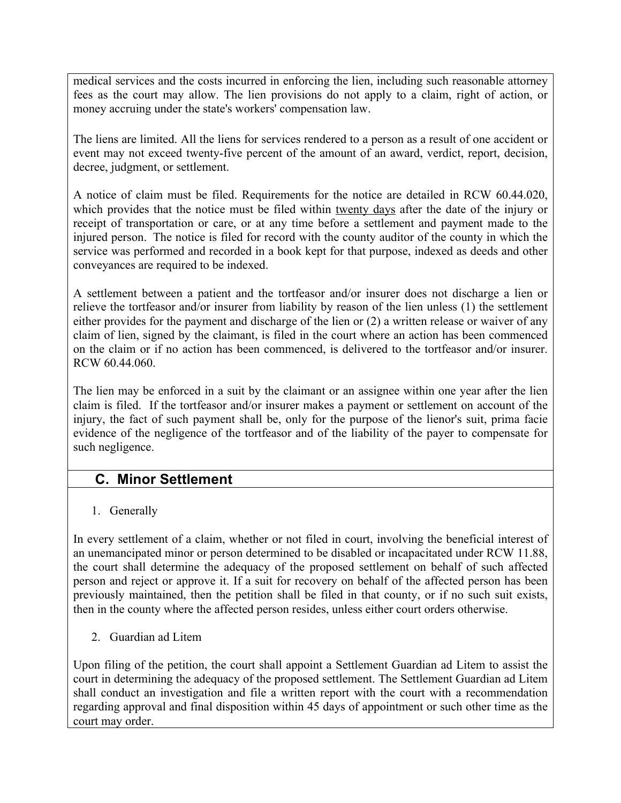medical services and the costs incurred in enforcing the lien, including such reasonable attorney fees as the court may allow. The lien provisions do not apply to a claim, right of action, or money accruing under the state's workers' compensation law.

The liens are limited. All the liens for services rendered to a person as a result of one accident or event may not exceed twenty-five percent of the amount of an award, verdict, report, decision, decree, judgment, or settlement.

A notice of claim must be filed. Requirements for the notice are detailed in RCW 60.44.020, which provides that the notice must be filed within twenty days after the date of the injury or receipt of transportation or care, or at any time before a settlement and payment made to the injured person. The notice is filed for record with the county auditor of the county in which the service was performed and recorded in a book kept for that purpose, indexed as deeds and other conveyances are required to be indexed.

A settlement between a patient and the tortfeasor and/or insurer does not discharge a lien or relieve the tortfeasor and/or insurer from liability by reason of the lien unless (1) the settlement either provides for the payment and discharge of the lien or (2) a written release or waiver of any claim of lien, signed by the claimant, is filed in the court where an action has been commenced on the claim or if no action has been commenced, is delivered to the tortfeasor and/or insurer. RCW 60.44.060.

The lien may be enforced in a suit by the claimant or an assignee within one year after the lien claim is filed. If the tortfeasor and/or insurer makes a payment or settlement on account of the injury, the fact of such payment shall be, only for the purpose of the lienor's suit, prima facie evidence of the negligence of the tortfeasor and of the liability of the payer to compensate for such negligence.

## **C. Minor Settlement**

### 1. Generally

In every settlement of a claim, whether or not filed in court, involving the beneficial interest of an unemancipated minor or person determined to be disabled or incapacitated under RCW 11.88, the court shall determine the adequacy of the proposed settlement on behalf of such affected person and reject or approve it. If a suit for recovery on behalf of the affected person has been previously maintained, then the petition shall be filed in that county, or if no such suit exists, then in the county where the affected person resides, unless either court orders otherwise.

2. Guardian ad Litem

Upon filing of the petition, the court shall appoint a Settlement Guardian ad Litem to assist the court in determining the adequacy of the proposed settlement. The Settlement Guardian ad Litem shall conduct an investigation and file a written report with the court with a recommendation regarding approval and final disposition within 45 days of appointment or such other time as the court may order.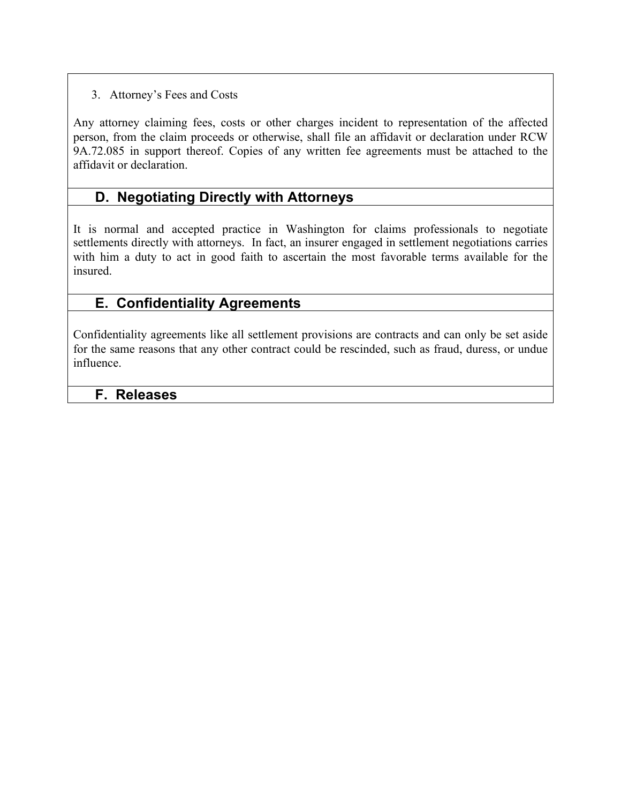#### 3. Attorney's Fees and Costs

Any attorney claiming fees, costs or other charges incident to representation of the affected person, from the claim proceeds or otherwise, shall file an affidavit or declaration under RCW 9A.72.085 in support thereof. Copies of any written fee agreements must be attached to the affidavit or declaration.

### **D. Negotiating Directly with Attorneys**

It is normal and accepted practice in Washington for claims professionals to negotiate settlements directly with attorneys. In fact, an insurer engaged in settlement negotiations carries with him a duty to act in good faith to ascertain the most favorable terms available for the insured.

### **E. Confidentiality Agreements**

Confidentiality agreements like all settlement provisions are contracts and can only be set aside for the same reasons that any other contract could be rescinded, such as fraud, duress, or undue influence.

### **F. Releases**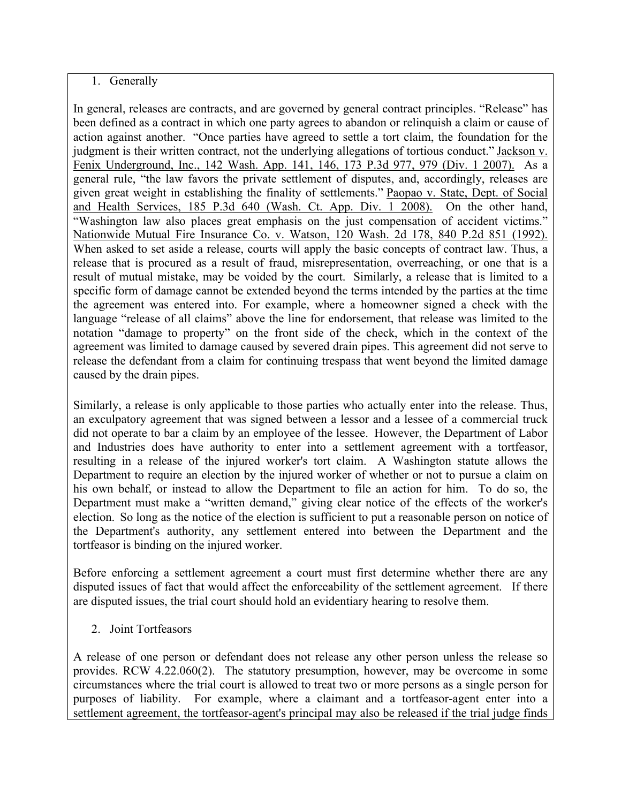#### 1. Generally

In general, releases are contracts, and are governed by general contract principles. "Release" has been defined as a contract in which one party agrees to abandon or relinquish a claim or cause of action against another. "Once parties have agreed to settle a tort claim, the foundation for the judgment is their written contract, not the underlying allegations of tortious conduct." Jackson v. Fenix Underground, Inc., 142 Wash. App. 141, 146, 173 P.3d 977, 979 (Div. 1 2007). As a general rule, "the law favors the private settlement of disputes, and, accordingly, releases are given great weight in establishing the finality of settlements." Paopao v. State, Dept. of Social and Health Services, 185 P.3d 640 (Wash. Ct. App. Div. 1 2008). On the other hand, "Washington law also places great emphasis on the just compensation of accident victims." Nationwide Mutual Fire Insurance Co. v. Watson, 120 Wash. 2d 178, 840 P.2d 851 (1992). When asked to set aside a release, courts will apply the basic concepts of contract law. Thus, a release that is procured as a result of fraud, misrepresentation, overreaching, or one that is a result of mutual mistake, may be voided by the court. Similarly, a release that is limited to a specific form of damage cannot be extended beyond the terms intended by the parties at the time the agreement was entered into. For example, where a homeowner signed a check with the language "release of all claims" above the line for endorsement, that release was limited to the notation "damage to property" on the front side of the check, which in the context of the agreement was limited to damage caused by severed drain pipes. This agreement did not serve to release the defendant from a claim for continuing trespass that went beyond the limited damage caused by the drain pipes.

Similarly, a release is only applicable to those parties who actually enter into the release. Thus, an exculpatory agreement that was signed between a lessor and a lessee of a commercial truck did not operate to bar a claim by an employee of the lessee. However, the Department of Labor and Industries does have authority to enter into a settlement agreement with a tortfeasor, resulting in a release of the injured worker's tort claim. A Washington statute allows the Department to require an election by the injured worker of whether or not to pursue a claim on his own behalf, or instead to allow the Department to file an action for him. To do so, the Department must make a "written demand," giving clear notice of the effects of the worker's election. So long as the notice of the election is sufficient to put a reasonable person on notice of the Department's authority, any settlement entered into between the Department and the tortfeasor is binding on the injured worker.

Before enforcing a settlement agreement a court must first determine whether there are any disputed issues of fact that would affect the enforceability of the settlement agreement. If there are disputed issues, the trial court should hold an evidentiary hearing to resolve them.

2. Joint Tortfeasors

A release of one person or defendant does not release any other person unless the release so provides. RCW 4.22.060(2). The statutory presumption, however, may be overcome in some circumstances where the trial court is allowed to treat two or more persons as a single person for purposes of liability. For example, where a claimant and a tortfeasor-agent enter into a settlement agreement, the tortfeasor-agent's principal may also be released if the trial judge finds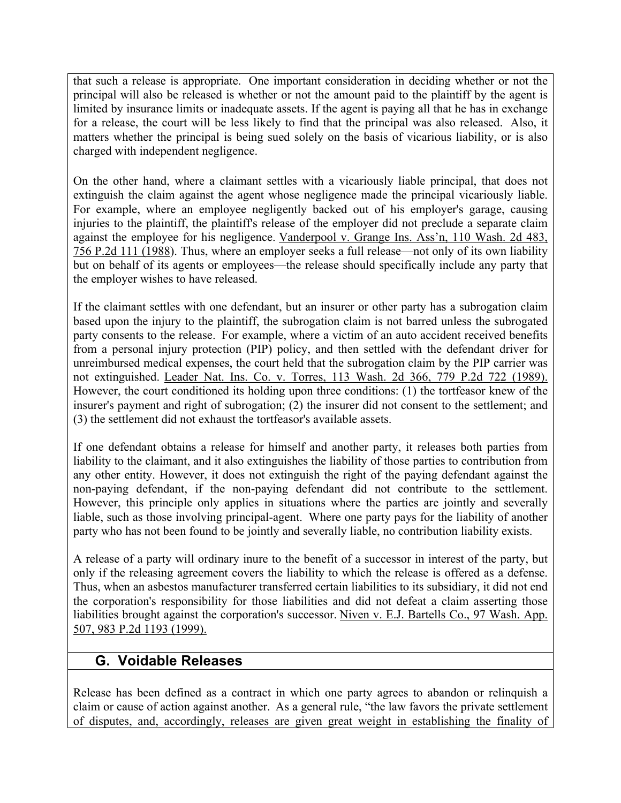that such a release is appropriate. One important consideration in deciding whether or not the principal will also be released is whether or not the amount paid to the plaintiff by the agent is limited by insurance limits or inadequate assets. If the agent is paying all that he has in exchange for a release, the court will be less likely to find that the principal was also released. Also, it matters whether the principal is being sued solely on the basis of vicarious liability, or is also charged with independent negligence.

On the other hand, where a claimant settles with a vicariously liable principal, that does not extinguish the claim against the agent whose negligence made the principal vicariously liable. For example, where an employee negligently backed out of his employer's garage, causing injuries to the plaintiff, the plaintiff's release of the employer did not preclude a separate claim against the employee for his negligence. Vanderpool v. Grange Ins. Ass'n, 110 Wash. 2d 483, 756 P.2d 111 (1988). Thus, where an employer seeks a full release—not only of its own liability but on behalf of its agents or employees—the release should specifically include any party that the employer wishes to have released.

If the claimant settles with one defendant, but an insurer or other party has a subrogation claim based upon the injury to the plaintiff, the subrogation claim is not barred unless the subrogated party consents to the release. For example, where a victim of an auto accident received benefits from a personal injury protection (PIP) policy, and then settled with the defendant driver for unreimbursed medical expenses, the court held that the subrogation claim by the PIP carrier was not extinguished. Leader Nat. Ins. Co. v. Torres, 113 Wash. 2d 366, 779 P.2d 722 (1989). However, the court conditioned its holding upon three conditions: (1) the tortfeasor knew of the insurer's payment and right of subrogation; (2) the insurer did not consent to the settlement; and (3) the settlement did not exhaust the tortfeasor's available assets.

If one defendant obtains a release for himself and another party, it releases both parties from liability to the claimant, and it also extinguishes the liability of those parties to contribution from any other entity. However, it does not extinguish the right of the paying defendant against the non-paying defendant, if the non-paying defendant did not contribute to the settlement. However, this principle only applies in situations where the parties are jointly and severally liable, such as those involving principal-agent. Where one party pays for the liability of another party who has not been found to be jointly and severally liable, no contribution liability exists.

A release of a party will ordinary inure to the benefit of a successor in interest of the party, but only if the releasing agreement covers the liability to which the release is offered as a defense. Thus, when an asbestos manufacturer transferred certain liabilities to its subsidiary, it did not end the corporation's responsibility for those liabilities and did not defeat a claim asserting those liabilities brought against the corporation's successor. Niven v. E.J. Bartells Co., 97 Wash. App. 507, 983 P.2d 1193 (1999).

## **G. Voidable Releases**

Release has been defined as a contract in which one party agrees to abandon or relinquish a claim or cause of action against another. As a general rule, "the law favors the private settlement of disputes, and, accordingly, releases are given great weight in establishing the finality of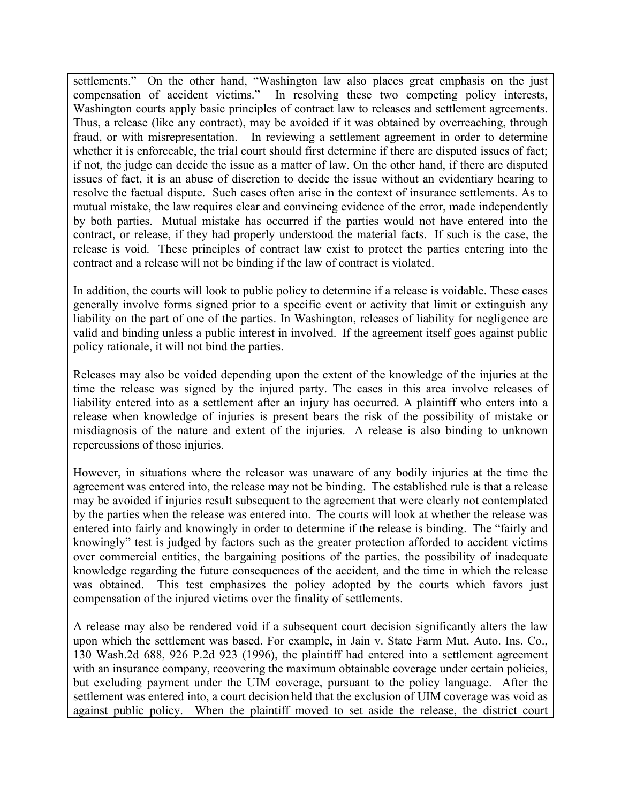settlements." On the other hand, "Washington law also places great emphasis on the just compensation of accident victims." In resolving these two competing policy interests, Washington courts apply basic principles of contract law to releases and settlement agreements. Thus, a release (like any contract), may be avoided if it was obtained by overreaching, through fraud, or with misrepresentation. In reviewing a settlement agreement in order to determine whether it is enforceable, the trial court should first determine if there are disputed issues of fact; if not, the judge can decide the issue as a matter of law. On the other hand, if there are disputed issues of fact, it is an abuse of discretion to decide the issue without an evidentiary hearing to resolve the factual dispute. Such cases often arise in the context of insurance settlements. As to mutual mistake, the law requires clear and convincing evidence of the error, made independently by both parties. Mutual mistake has occurred if the parties would not have entered into the contract, or release, if they had properly understood the material facts. If such is the case, the release is void. These principles of contract law exist to protect the parties entering into the contract and a release will not be binding if the law of contract is violated.

In addition, the courts will look to public policy to determine if a release is voidable. These cases generally involve forms signed prior to a specific event or activity that limit or extinguish any liability on the part of one of the parties. In Washington, releases of liability for negligence are valid and binding unless a public interest in involved. If the agreement itself goes against public policy rationale, it will not bind the parties.

Releases may also be voided depending upon the extent of the knowledge of the injuries at the time the release was signed by the injured party. The cases in this area involve releases of liability entered into as a settlement after an injury has occurred. A plaintiff who enters into a release when knowledge of injuries is present bears the risk of the possibility of mistake or misdiagnosis of the nature and extent of the injuries. A release is also binding to unknown repercussions of those injuries.

However, in situations where the releasor was unaware of any bodily injuries at the time the agreement was entered into, the release may not be binding. The established rule is that a release may be avoided if injuries result subsequent to the agreement that were clearly not contemplated by the parties when the release was entered into. The courts will look at whether the release was entered into fairly and knowingly in order to determine if the release is binding. The "fairly and knowingly" test is judged by factors such as the greater protection afforded to accident victims over commercial entities, the bargaining positions of the parties, the possibility of inadequate knowledge regarding the future consequences of the accident, and the time in which the release was obtained. This test emphasizes the policy adopted by the courts which favors just compensation of the injured victims over the finality of settlements.

A release may also be rendered void if a subsequent court decision significantly alters the law upon which the settlement was based. For example, in Jain v. State Farm Mut. Auto. Ins. Co., 130 Wash.2d 688, 926 P.2d 923 (1996), the plaintiff had entered into a settlement agreement with an insurance company, recovering the maximum obtainable coverage under certain policies, but excluding payment under the UIM coverage, pursuant to the policy language. After the settlement was entered into, a court decision held that the exclusion of UIM coverage was void as against public policy. When the plaintiff moved to set aside the release, the district court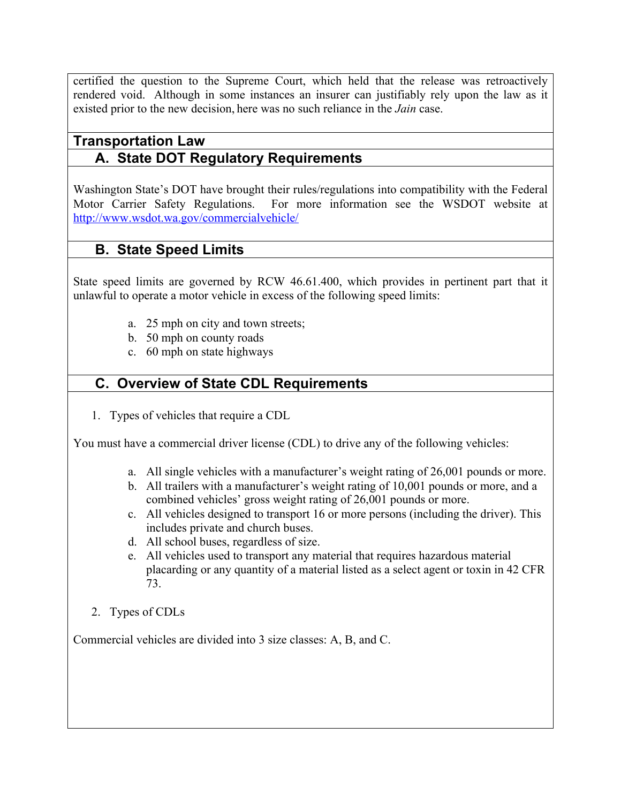certified the question to the Supreme Court, which held that the release was retroactively rendered void. Although in some instances an insurer can justifiably rely upon the law as it existed prior to the new decision, here was no such reliance in the *Jain* case.

## **Transportation Law A. State DOT Regulatory Requirements**

Washington State's DOT have brought their rules/regulations into compatibility with the Federal Motor Carrier Safety Regulations. For more information see the WSDOT website at http://www.wsdot.wa.gov/commercialvehicle/

# **B. State Speed Limits**

State speed limits are governed by RCW 46.61.400, which provides in pertinent part that it unlawful to operate a motor vehicle in excess of the following speed limits:

- a. 25 mph on city and town streets;
- b. 50 mph on county roads
- c. 60 mph on state highways

# **C. Overview of State CDL Requirements**

1. Types of vehicles that require a CDL

You must have a commercial driver license (CDL) to drive any of the following vehicles:

- a. All single vehicles with a manufacturer's weight rating of 26,001 pounds or more.
- b. All trailers with a manufacturer's weight rating of 10,001 pounds or more, and a combined vehicles' gross weight rating of 26,001 pounds or more.
- c. All vehicles designed to transport 16 or more persons (including the driver). This includes private and church buses.
- d. All school buses, regardless of size.
- e. All vehicles used to transport any material that requires hazardous material placarding or any quantity of a material listed as a select agent or toxin in 42 CFR 73.
- 2. Types of CDLs

Commercial vehicles are divided into 3 size classes: A, B, and C.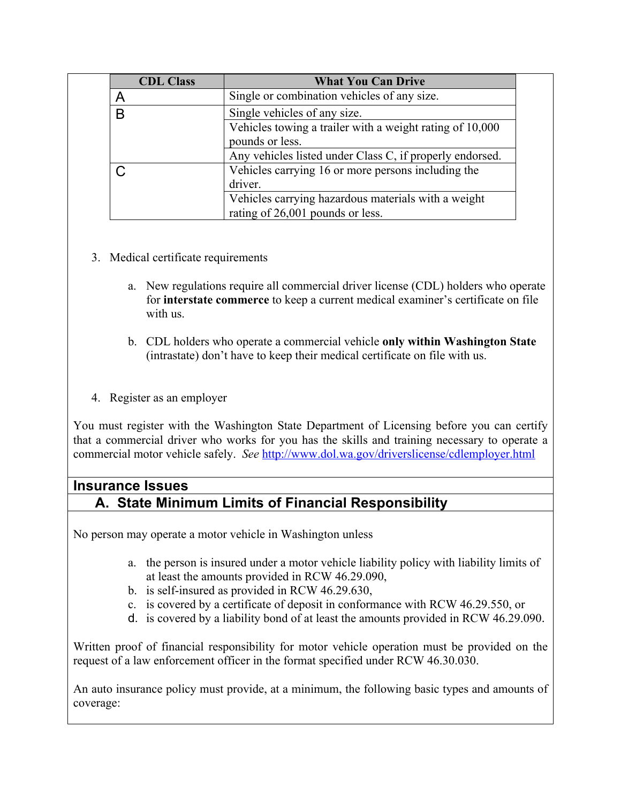| <b>CDL Class</b> | <b>What You Can Drive</b>                                |
|------------------|----------------------------------------------------------|
| A                | Single or combination vehicles of any size.              |
| B                | Single vehicles of any size.                             |
|                  | Vehicles towing a trailer with a weight rating of 10,000 |
|                  | pounds or less.                                          |
|                  | Any vehicles listed under Class C, if properly endorsed. |
|                  | Vehicles carrying 16 or more persons including the       |
|                  | driver.                                                  |
|                  | Vehicles carrying hazardous materials with a weight      |
|                  | rating of 26,001 pounds or less.                         |

- 3. Medical certificate requirements
	- a. New regulations require all commercial driver license (CDL) holders who operate for **interstate commerce** to keep a current medical examiner's certificate on file with us.
	- b. CDL holders who operate a commercial vehicle **only within Washington State** (intrastate) don't have to keep their medical certificate on file with us.
- 4. Register as an employer

You must register with the Washington State Department of Licensing before you can certify that a commercial driver who works for you has the skills and training necessary to operate a commercial motor vehicle safely. *See* http://www.dol.wa.gov/driverslicense/cdlemployer.html

# **Insurance Issues A. State Minimum Limits of Financial Responsibility**

No person may operate a motor vehicle in Washington unless

- a. the person is insured under a motor vehicle liability policy with liability limits of at least the amounts provided in RCW 46.29.090,
- b. is self-insured as provided in RCW 46.29.630,
- c. is covered by a certificate of deposit in conformance with RCW 46.29.550, or
- d. is covered by a liability bond of at least the amounts provided in RCW 46.29.090.

Written proof of financial responsibility for motor vehicle operation must be provided on the request of a law enforcement officer in the format specified under RCW 46.30.030.

An auto insurance policy must provide, at a minimum, the following basic types and amounts of coverage: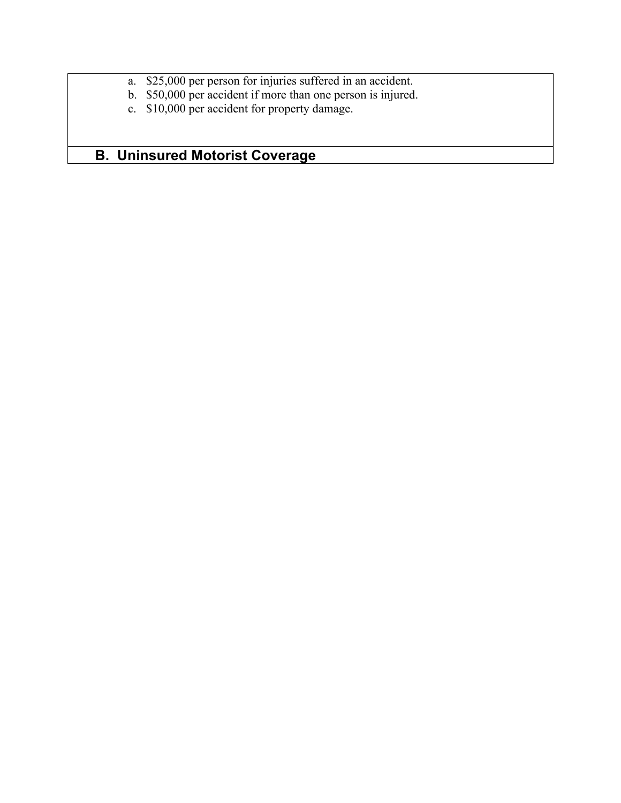- a. \$25,000 per person for injuries suffered in an accident.
- b. \$50,000 per accident if more than one person is injured.
- c. \$10,000 per accident for property damage.

# **B. Uninsured Motorist Coverage**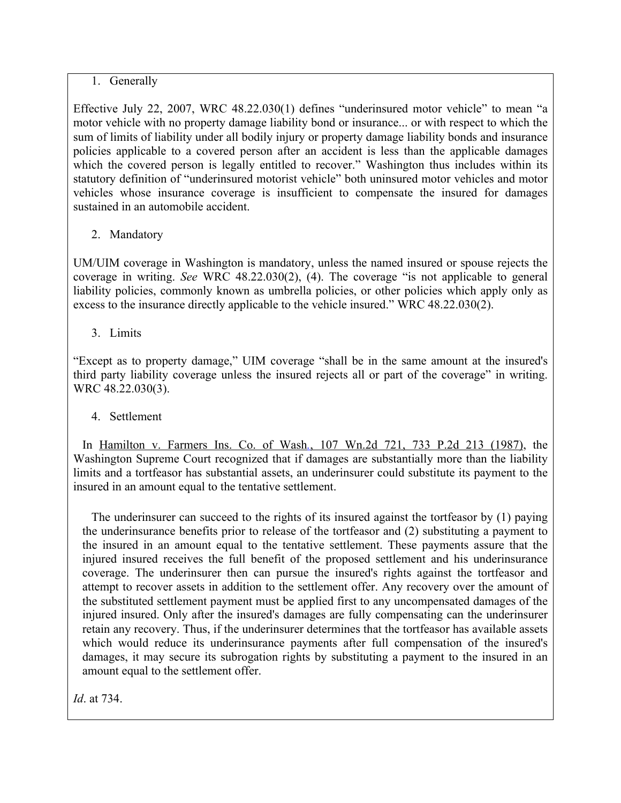#### 1. Generally

Effective July 22, 2007, WRC 48.22.030(1) defines "underinsured motor vehicle" to mean "a motor vehicle with no property damage liability bond or insurance... or with respect to which the sum of limits of liability under all bodily injury or property damage liability bonds and insurance policies applicable to a covered person after an accident is less than the applicable damages which the covered person is legally entitled to recover." Washington thus includes within its statutory definition of "underinsured motorist vehicle" both uninsured motor vehicles and motor vehicles whose insurance coverage is insufficient to compensate the insured for damages sustained in an automobile accident.

#### 2. Mandatory

UM/UIM coverage in Washington is mandatory, unless the named insured or spouse rejects the coverage in writing. *See* WRC 48.22.030(2), (4). The coverage "is not applicable to general liability policies, commonly known as umbrella policies, or other policies which apply only as excess to the insurance directly applicable to the vehicle insured." WRC 48.22.030(2).

3. Limits

"Except as to property damage," UIM coverage "shall be in the same amount at the insured's third party liability coverage unless the insured rejects all or part of the coverage" in writing. WRC 48.22.030(3).

#### 4. Settlement

In Hamilton v. Farmers Ins. Co. of Wash*.*, 107 Wn.2d 721, 733 P.2d 213 (1987), the Washington Supreme Court recognized that if damages are substantially more than the liability limits and a tortfeasor has substantial assets, an underinsurer could substitute its payment to the insured in an amount equal to the tentative settlement.

The underinsurer can succeed to the rights of its insured against the tortfeasor by (1) paying the underinsurance benefits prior to release of the tortfeasor and (2) substituting a payment to the insured in an amount equal to the tentative settlement. These payments assure that the injured insured receives the full benefit of the proposed settlement and his underinsurance coverage. The underinsurer then can pursue the insured's rights against the tortfeasor and attempt to recover assets in addition to the settlement offer. Any recovery over the amount of the substituted settlement payment must be applied first to any uncompensated damages of the injured insured. Only after the insured's damages are fully compensating can the underinsurer retain any recovery. Thus, if the underinsurer determines that the tortfeasor has available assets which would reduce its underinsurance payments after full compensation of the insured's damages, it may secure its subrogation rights by substituting a payment to the insured in an amount equal to the settlement offer.

*Id*. at 734.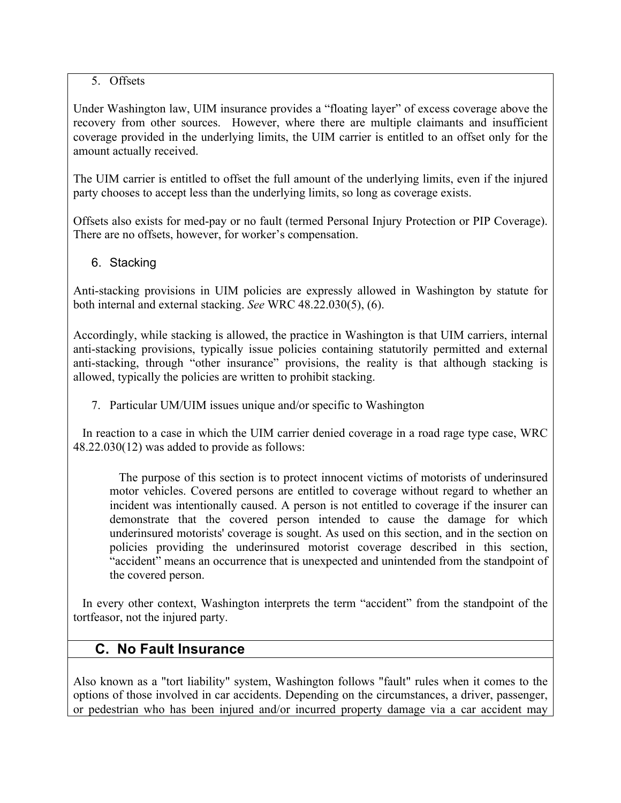#### 5. Offsets

Under Washington law, UIM insurance provides a "floating layer" of excess coverage above the recovery from other sources. However, where there are multiple claimants and insufficient coverage provided in the underlying limits, the UIM carrier is entitled to an offset only for the amount actually received.

The UIM carrier is entitled to offset the full amount of the underlying limits, even if the injured party chooses to accept less than the underlying limits, so long as coverage exists.

Offsets also exists for med-pay or no fault (termed Personal Injury Protection or PIP Coverage). There are no offsets, however, for worker's compensation.

#### 6. Stacking

Anti-stacking provisions in UIM policies are expressly allowed in Washington by statute for both internal and external stacking. *See* WRC 48.22.030(5), (6).

Accordingly, while stacking is allowed, the practice in Washington is that UIM carriers, internal anti-stacking provisions, typically issue policies containing statutorily permitted and external anti-stacking, through "other insurance" provisions, the reality is that although stacking is allowed, typically the policies are written to prohibit stacking.

7. Particular UM/UIM issues unique and/or specific to Washington

In reaction to a case in which the UIM carrier denied coverage in a road rage type case, WRC 48.22.030(12) was added to provide as follows:

The purpose of this section is to protect innocent victims of motorists of underinsured motor vehicles. Covered persons are entitled to coverage without regard to whether an incident was intentionally caused. A person is not entitled to coverage if the insurer can demonstrate that the covered person intended to cause the damage for which underinsured motorists' coverage is sought. As used on this section, and in the section on policies providing the underinsured motorist coverage described in this section, "accident" means an occurrence that is unexpected and unintended from the standpoint of the covered person.

In every other context, Washington interprets the term "accident" from the standpoint of the tortfeasor, not the injured party.

# **C. No Fault Insurance**

Also known as a "tort liability" system, Washington follows "fault" rules when it comes to the options of those involved in car accidents. Depending on the circumstances, a driver, passenger, or pedestrian who has been injured and/or incurred property damage via a car accident may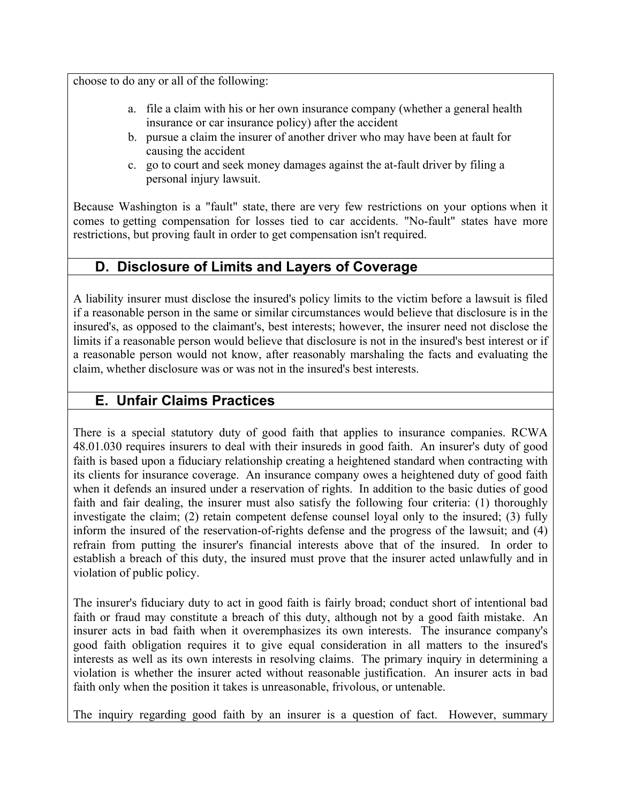choose to do any or all of the following:

- a. file a claim with his or her own insurance company (whether a general health insurance or car insurance policy) after the accident
- b. pursue a claim the insurer of another driver who may have been at fault for causing the accident
- c. go to court and seek money damages against the at-fault driver by filing a personal injury lawsuit.

Because Washington is a "fault" state, there are very few restrictions on your options when it comes to getting compensation for losses tied to car accidents. "No-fault" states have more restrictions, but proving fault in order to get compensation isn't required.

## **D. Disclosure of Limits and Layers of Coverage**

A liability insurer must disclose the insured's policy limits to the victim before a lawsuit is filed if a reasonable person in the same or similar circumstances would believe that disclosure is in the insured's, as opposed to the claimant's, best interests; however, the insurer need not disclose the limits if a reasonable person would believe that disclosure is not in the insured's best interest or if a reasonable person would not know, after reasonably marshaling the facts and evaluating the claim, whether disclosure was or was not in the insured's best interests.

## **E. Unfair Claims Practices**

There is a special statutory duty of good faith that applies to insurance companies. RCWA 48.01.030 requires insurers to deal with their insureds in good faith. An insurer's duty of good faith is based upon a fiduciary relationship creating a heightened standard when contracting with its clients for insurance coverage. An insurance company owes a heightened duty of good faith when it defends an insured under a reservation of rights. In addition to the basic duties of good faith and fair dealing, the insurer must also satisfy the following four criteria: (1) thoroughly investigate the claim; (2) retain competent defense counsel loyal only to the insured; (3) fully inform the insured of the reservation-of-rights defense and the progress of the lawsuit; and (4) refrain from putting the insurer's financial interests above that of the insured. In order to establish a breach of this duty, the insured must prove that the insurer acted unlawfully and in violation of public policy.

The insurer's fiduciary duty to act in good faith is fairly broad; conduct short of intentional bad faith or fraud may constitute a breach of this duty, although not by a good faith mistake. An insurer acts in bad faith when it overemphasizes its own interests. The insurance company's good faith obligation requires it to give equal consideration in all matters to the insured's interests as well as its own interests in resolving claims. The primary inquiry in determining a violation is whether the insurer acted without reasonable justification. An insurer acts in bad faith only when the position it takes is unreasonable, frivolous, or untenable.

The inquiry regarding good faith by an insurer is a question of fact. However, summary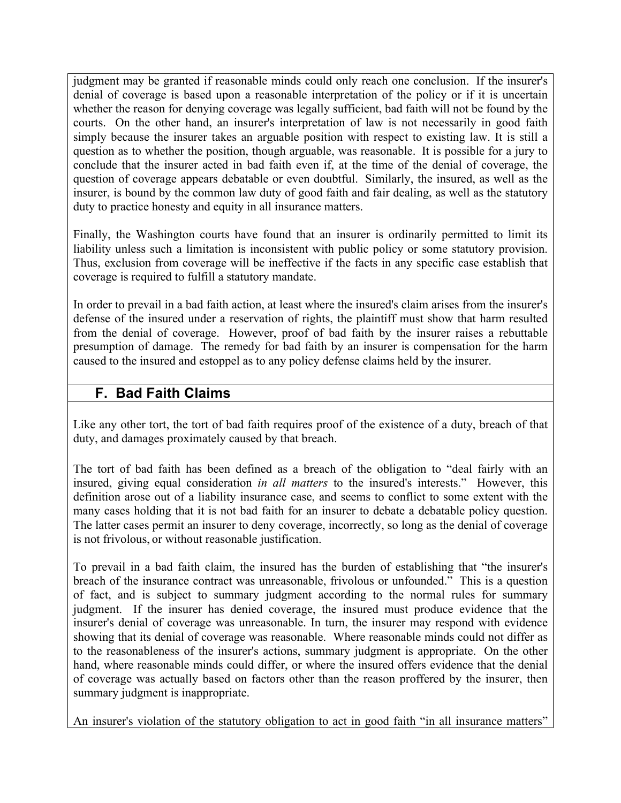judgment may be granted if reasonable minds could only reach one conclusion. If the insurer's denial of coverage is based upon a reasonable interpretation of the policy or if it is uncertain whether the reason for denying coverage was legally sufficient, bad faith will not be found by the courts. On the other hand, an insurer's interpretation of law is not necessarily in good faith simply because the insurer takes an arguable position with respect to existing law. It is still a question as to whether the position, though arguable, was reasonable. It is possible for a jury to conclude that the insurer acted in bad faith even if, at the time of the denial of coverage, the question of coverage appears debatable or even doubtful. Similarly, the insured, as well as the insurer, is bound by the common law duty of good faith and fair dealing, as well as the statutory duty to practice honesty and equity in all insurance matters.

Finally, the Washington courts have found that an insurer is ordinarily permitted to limit its liability unless such a limitation is inconsistent with public policy or some statutory provision. Thus, exclusion from coverage will be ineffective if the facts in any specific case establish that coverage is required to fulfill a statutory mandate.

In order to prevail in a bad faith action, at least where the insured's claim arises from the insurer's defense of the insured under a reservation of rights, the plaintiff must show that harm resulted from the denial of coverage. However, proof of bad faith by the insurer raises a rebuttable presumption of damage. The remedy for bad faith by an insurer is compensation for the harm caused to the insured and estoppel as to any policy defense claims held by the insurer.

## **F. Bad Faith Claims**

Like any other tort, the tort of bad faith requires proof of the existence of a duty, breach of that duty, and damages proximately caused by that breach.

The tort of bad faith has been defined as a breach of the obligation to "deal fairly with an insured, giving equal consideration *in all matters* to the insured's interests." However, this definition arose out of a liability insurance case, and seems to conflict to some extent with the many cases holding that it is not bad faith for an insurer to debate a debatable policy question. The latter cases permit an insurer to deny coverage, incorrectly, so long as the denial of coverage is not frivolous, or without reasonable justification.

To prevail in a bad faith claim, the insured has the burden of establishing that "the insurer's breach of the insurance contract was unreasonable, frivolous or unfounded." This is a question of fact, and is subject to summary judgment according to the normal rules for summary judgment. If the insurer has denied coverage, the insured must produce evidence that the insurer's denial of coverage was unreasonable. In turn, the insurer may respond with evidence showing that its denial of coverage was reasonable. Where reasonable minds could not differ as to the reasonableness of the insurer's actions, summary judgment is appropriate. On the other hand, where reasonable minds could differ, or where the insured offers evidence that the denial of coverage was actually based on factors other than the reason proffered by the insurer, then summary judgment is inappropriate.

An insurer's violation of the statutory obligation to act in good faith "in all insurance matters"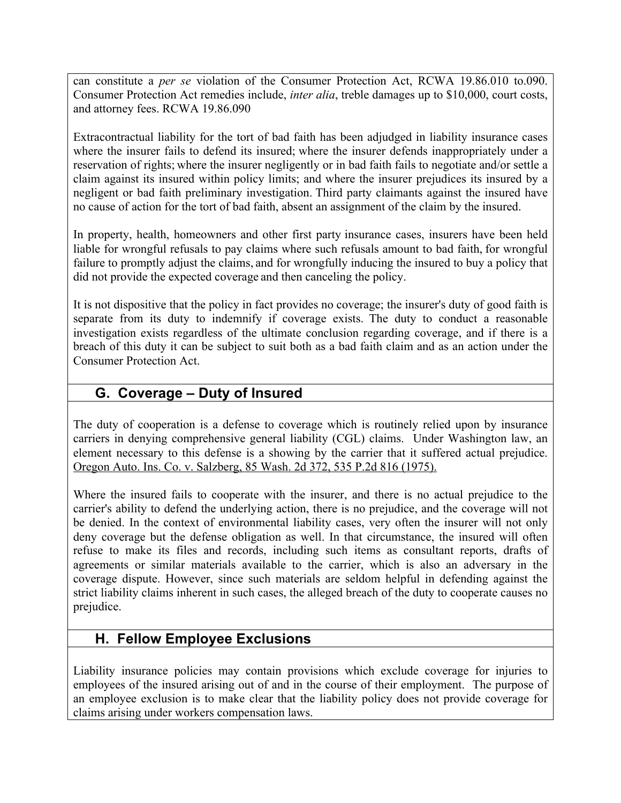can constitute a *per se* violation of the Consumer Protection Act, RCWA 19.86.010 to.090. Consumer Protection Act remedies include, *inter alia*, treble damages up to \$10,000, court costs, and attorney fees. RCWA 19.86.090

Extracontractual liability for the tort of bad faith has been adjudged in liability insurance cases where the insurer fails to defend its insured; where the insurer defends inappropriately under a reservation of rights; where the insurer negligently or in bad faith fails to negotiate and/or settle a claim against its insured within policy limits; and where the insurer prejudices its insured by a negligent or bad faith preliminary investigation. Third party claimants against the insured have no cause of action for the tort of bad faith, absent an assignment of the claim by the insured.

In property, health, homeowners and other first party insurance cases, insurers have been held liable for wrongful refusals to pay claims where such refusals amount to bad faith, for wrongful failure to promptly adjust the claims, and for wrongfully inducing the insured to buy a policy that did not provide the expected coverage and then canceling the policy.

It is not dispositive that the policy in fact provides no coverage; the insurer's duty of good faith is separate from its duty to indemnify if coverage exists. The duty to conduct a reasonable investigation exists regardless of the ultimate conclusion regarding coverage, and if there is a breach of this duty it can be subject to suit both as a bad faith claim and as an action under the Consumer Protection Act.

# **G. Coverage – Duty of Insured**

The duty of cooperation is a defense to coverage which is routinely relied upon by insurance carriers in denying comprehensive general liability (CGL) claims. Under Washington law, an element necessary to this defense is a showing by the carrier that it suffered actual prejudice. Oregon Auto. Ins. Co. v. Salzberg, 85 Wash. 2d 372, 535 P.2d 816 (1975).

Where the insured fails to cooperate with the insurer, and there is no actual prejudice to the carrier's ability to defend the underlying action, there is no prejudice, and the coverage will not be denied. In the context of environmental liability cases, very often the insurer will not only deny coverage but the defense obligation as well. In that circumstance, the insured will often refuse to make its files and records, including such items as consultant reports, drafts of agreements or similar materials available to the carrier, which is also an adversary in the coverage dispute. However, since such materials are seldom helpful in defending against the strict liability claims inherent in such cases, the alleged breach of the duty to cooperate causes no prejudice.

## **H. Fellow Employee Exclusions**

Liability insurance policies may contain provisions which exclude coverage for injuries to employees of the insured arising out of and in the course of their employment. The purpose of an employee exclusion is to make clear that the liability policy does not provide coverage for claims arising under workers compensation laws.